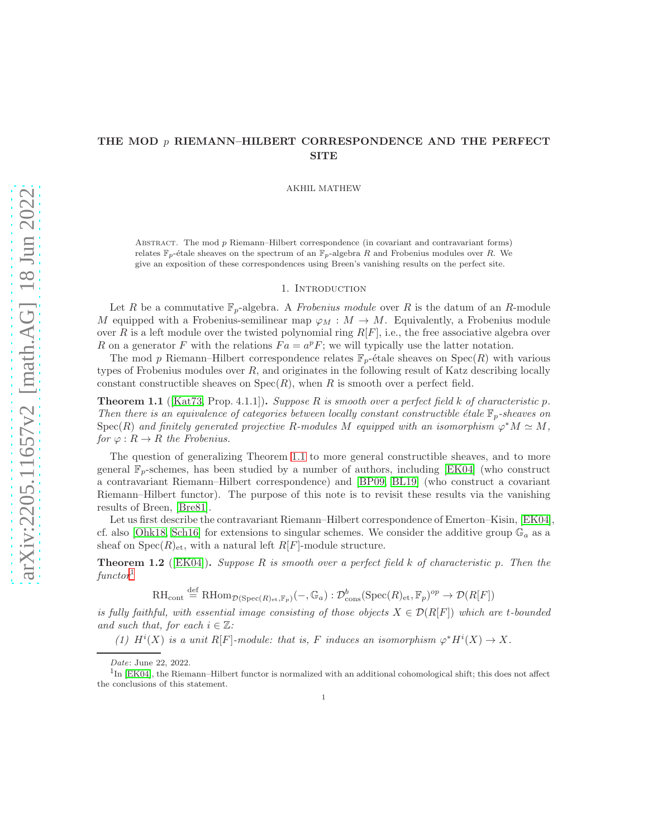# THE MOD  $p$  riemann–Hilbert correspondence and the perfect SITE

AKHIL MATHEW

ABSTRACT. The mod  $p$  Riemann–Hilbert correspondence (in covariant and contravariant forms) relates  $\mathbb{F}_p$ -étale sheaves on the spectrum of an  $\mathbb{F}_p$ -algebra R and Frobenius modules over R. We give an exposition of these correspondences using Breen's vanishing results on the perfect site.

#### 1. Introduction

Let R be a commutative  $\mathbb{F}_p$ -algebra. A *Frobenius module* over R is the datum of an R-module M equipped with a Frobenius-semilinear map  $\varphi_M : M \to M$ . Equivalently, a Frobenius module over R is a left module over the twisted polynomial ring  $R[F]$ , i.e., the free associative algebra over R on a generator F with the relations  $Fa = a^p F$ ; we will typically use the latter notation.

The mod p Riemann–Hilbert correspondence relates  $\mathbb{F}_p$ -étale sheaves on Spec $(R)$  with various types of Frobenius modules over  $R$ , and originates in the following result of Katz describing locally constant constructible sheaves on  $Spec(R)$ , when R is smooth over a perfect field.

<span id="page-0-0"></span>**Theorem 1.1** ([\[Kat73,](#page-23-0) Prop. 4.1.1]). Suppose R is smooth over a perfect field k of characteristic p. Then there is an equivalence of categories between locally constant constructible étale  $\mathbb{F}_p$ -sheaves on Spec(R) and finitely generated projective R-modules M equipped with an isomorphism  $\varphi^* M \simeq M$ , for  $\varphi: R \to R$  the Frobenius.

The question of generalizing Theorem [1.1](#page-0-0) to more general constructible sheaves, and to more general  $\mathbb{F}_p$ -schemes, has been studied by a number of authors, including [\[EK04\]](#page-23-1) (who construct a contravariant Riemann–Hilbert correspondence) and [\[BP09,](#page-23-2) [BL19\]](#page-23-3) (who construct a covariant Riemann–Hilbert functor). The purpose of this note is to revisit these results via the vanishing results of Breen, [\[Bre81\]](#page-23-4).

Let us first describe the contravariant Riemann–Hilbert correspondence of Emerton–Kisin, [\[EK04\]](#page-23-1), cf. also [\[Ohk18,](#page-24-0) [Sch16\]](#page-24-1) for extensions to singular schemes. We consider the additive group  $\mathbb{G}_a$  as a sheaf on  $Spec(R)_{et}$ , with a natural left  $R[F]$ -module structure.

<span id="page-0-2"></span>**Theorem 1.2** ([\[EK04\]](#page-23-1)). Suppose R is smooth over a perfect field k of characteristic p. Then the  $functor<sup>1</sup>$  $functor<sup>1</sup>$  $functor<sup>1</sup>$ 

 $\text{RH}_{\text{cont}} \stackrel{\text{def}}{=} \text{RHom}_{\mathcal{D}(\text{Spec}(R)_{\text{et}},\mathbb{F}_p)}(-,\mathbb{G}_a): \mathcal{D}^b_{\text{cons}}(\text{Spec}(R)_{\text{et}},\mathbb{F}_p)^{op} \to \mathcal{D}(R[F])$ 

is fully faithful, with essential image consisting of those objects  $X \in \mathcal{D}(R[F])$  which are t-bounded and such that, for each  $i \in \mathbb{Z}$ :

(1)  $H^i(X)$  is a unit R[F]-module: that is, F induces an isomorphism  $\varphi^* H^i(X) \to X$ .

Date: June 22, 2022.

<span id="page-0-1"></span><sup>&</sup>lt;sup>1</sup>In [\[EK04\]](#page-23-1), the Riemann–Hilbert functor is normalized with an additional cohomological shift; this does not affect the conclusions of this statement.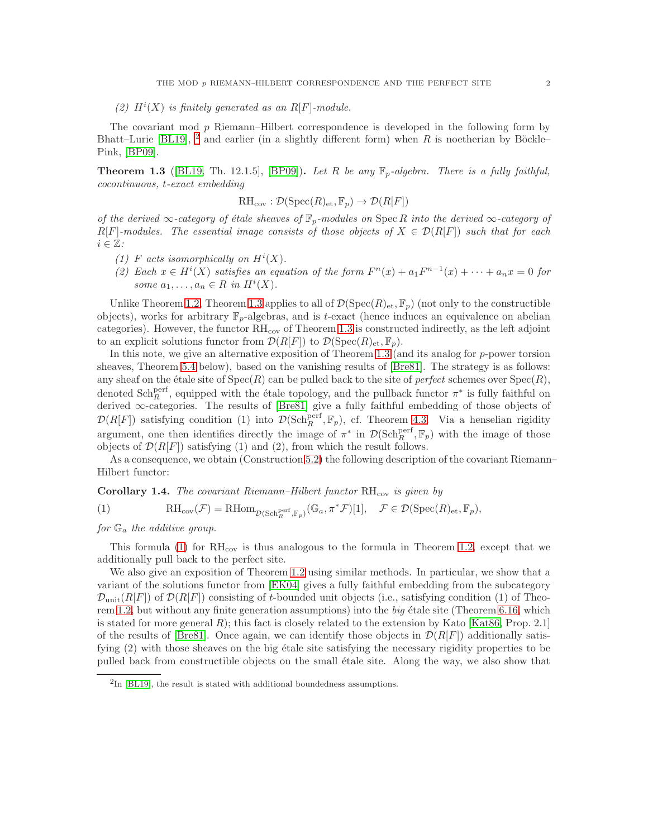# (2)  $H^i(X)$  is finitely generated as an R[F]-module.

The covariant mod p Riemann–Hilbert correspondence is developed in the following form by Bhatt–Lurie [\[BL19\]](#page-23-3), <sup>[2](#page-1-0)</sup> and earlier (in a slightly different form) when R is noetherian by Böckle– Pink, [\[BP09\]](#page-23-2).

<span id="page-1-1"></span>**Theorem 1.3** ([\[BL19,](#page-23-3) Th. 12.1.5], [\[BP09\]](#page-23-2)). Let R be any  $\mathbb{F}_p$ -algebra. There is a fully faithful, cocontinuous, t-exact embedding

$$
\mathrm{RH}_{\mathrm{cov}} : \mathcal{D}(\mathrm{Spec}(R)_{\mathrm{\acute{e}t}}, \mathbb{F}_p) \to \mathcal{D}(R[F])
$$

of the derived ∞-category of étale sheaves of  $\mathbb{F}_p$ -modules on Spec R into the derived ∞-category of  $R[F]$ -modules. The essential image consists of those objects of  $X \in \mathcal{D}(R[F])$  such that for each  $i \in \mathbb{Z}$ :

- (1) F acts isomorphically on  $H^i(X)$ .
- (2) Each  $x \in H^{i}(X)$  satisfies an equation of the form  $F^{n}(x) + a_1 F^{n-1}(x) + \cdots + a_n x = 0$  for some  $a_1, \ldots, a_n \in R$  in  $H^i(X)$ .

Unlike Theorem [1.2,](#page-0-2) Theorem [1.3](#page-1-1) applies to all of  $\mathcal{D}(\mathrm{Spec}(R)_{\mathrm{et}}, \mathbb{F}_p)$  (not only to the constructible objects), works for arbitrary  $\mathbb{F}_p$ -algebras, and is t-exact (hence induces an equivalence on abelian categories). However, the functor  $RH_{cov}$  of Theorem [1.3](#page-1-1) is constructed indirectly, as the left adjoint to an explicit solutions functor from  $\mathcal{D}(R[F])$  to  $\mathcal{D}(\mathrm{Spec}(R)_{\mathrm{et}}, \mathbb{F}_p)$ .

In this note, we give an alternative exposition of Theorem [1.3](#page-1-1) (and its analog for  $p$ -power torsion sheaves, Theorem [5.4](#page-11-0) below), based on the vanishing results of [\[Bre81\]](#page-23-4). The strategy is as follows: any sheaf on the étale site of  $Spec(R)$  can be pulled back to the site of *perfect* schemes over  $Spec(R)$ , denoted  $\text{Sch}_{R}^{\text{perf}}$ , equipped with the étale topology, and the pullback functor  $\pi^*$  is fully faithful on derived ∞-categories. The results of [\[Bre81\]](#page-23-4) give a fully faithful embedding of those objects of  $\mathcal{D}(R[F])$  satisfying condition (1) into  $\mathcal{D}(\text{Sch}_{R}^{\text{perf}}, \mathbb{F}_p)$ , cf. Theorem [4.3.](#page-9-0) Via a henselian rigidity argument, one then identifies directly the image of  $\pi^*$  in  $\mathcal{D}(\text{Sch}_{R}^{\text{perf}}, \mathbb{F}_p)$  with the image of those objects of  $\mathcal{D}(R[F])$  satisfying (1) and (2), from which the result follows.

As a consequence, we obtain (Construction [5.2\)](#page-10-0) the following description of the covariant Riemann– Hilbert functor:

#### **Corollary 1.4.** The covariant Riemann–Hilbert functor  $RH_{cov}$  is given by

<span id="page-1-2"></span>(1) 
$$
\mathrm{RH}_{\mathrm{cov}}(\mathcal{F}) = \mathrm{RHom}_{\mathcal{D}(\mathrm{Sch}^{\mathrm{perf}}_R, \mathbb{F}_p)}(\mathbb{G}_a, \pi^* \mathcal{F})[1], \quad \mathcal{F} \in \mathcal{D}(\mathrm{Spec}(R)_{\mathrm{et}}, \mathbb{F}_p),
$$

## for  $\mathbb{G}_a$  the additive group.

This formula  $(1)$  for  $RH_{cov}$  is thus analogous to the formula in Theorem [1.2,](#page-0-2) except that we additionally pull back to the perfect site.

We also give an exposition of Theorem [1.2](#page-0-2) using similar methods. In particular, we show that a variant of the solutions functor from [\[EK04\]](#page-23-1) gives a fully faithful embedding from the subcategory  $\mathcal{D}_{\text{unit}}(R[F])$  of  $\mathcal{D}(R[F])$  consisting of t-bounded unit objects (i.e., satisfying condition (1) of Theo-rem [1.2,](#page-0-2) but without any finite generation assumptions) into the  $big$  etale site (Theorem [6.16,](#page-15-0) which is stated for more general  $R$ ); this fact is closely related to the extension by Kato [\[Kat86,](#page-23-5) Prop. 2.1] of the results of [\[Bre81\]](#page-23-4). Once again, we can identify those objects in  $\mathcal{D}(R[F])$  additionally satisfying (2) with those sheaves on the big étale site satisfying the necessary rigidity properties to be pulled back from constructible objects on the small ´etale site. Along the way, we also show that

<span id="page-1-0"></span> ${}^{2}\text{In}$  [\[BL19\]](#page-23-3), the result is stated with additional boundedness assumptions.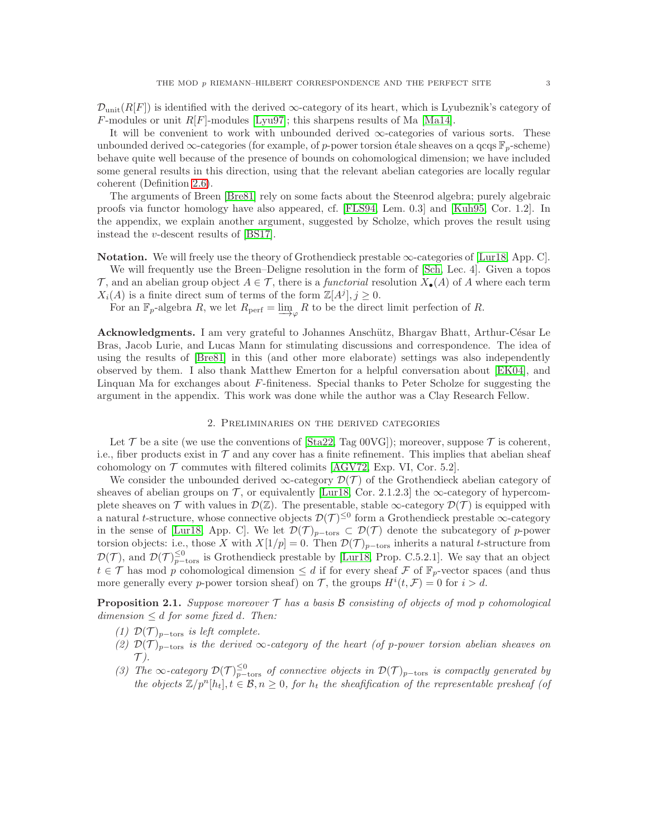$\mathcal{D}_{\text{unit}}(R[F])$  is identified with the derived  $\infty$ -category of its heart, which is Lyubeznik's category of  $F$ -modules or unit  $R[F]$ -modules [\[Lyu97\]](#page-24-2); this sharpens results of Ma [\[Ma14\]](#page-24-3).

It will be convenient to work with unbounded derived  $\infty$ -categories of various sorts. These unbounded derived  $\infty$ -categories (for example, of p-power torsion étale sheaves on a qcqs  $\mathbb{F}_p$ -scheme) behave quite well because of the presence of bounds on cohomological dimension; we have included some general results in this direction, using that the relevant abelian categories are locally regular coherent (Definition [2.6\)](#page-4-0).

The arguments of Breen [\[Bre81\]](#page-23-4) rely on some facts about the Steenrod algebra; purely algebraic proofs via functor homology have also appeared, cf. [\[FLS94,](#page-23-6) Lem. 0.3] and [\[Kuh95,](#page-23-7) Cor. 1.2]. In the appendix, we explain another argument, suggested by Scholze, which proves the result using instead the v-descent results of [\[BS17\]](#page-23-8).

Notation. We will freely use the theory of Grothendieck prestable ∞-categories of [\[Lur18,](#page-24-4) App. C].

We will frequently use the Breen–Deligne resolution in the form of [\[Sch,](#page-24-5) Lec. 4]. Given a topos  $\mathcal T$ , and an abelian group object  $A \in \mathcal T$ , there is a *functorial* resolution  $X_{\bullet}(A)$  of A where each term  $X_i(A)$  is a finite direct sum of terms of the form  $\mathbb{Z}[A^j], j \geq 0$ .

For an  $\mathbb{F}_p$ -algebra R, we let  $R_{\text{perf}} = \varinjlim_{\varphi} R$  to be the direct limit perfection of R.

Acknowledgments. I am very grateful to Johannes Anschütz, Bhargav Bhatt, Arthur-César Le Bras, Jacob Lurie, and Lucas Mann for stimulating discussions and correspondence. The idea of using the results of [\[Bre81\]](#page-23-4) in this (and other more elaborate) settings was also independently observed by them. I also thank Matthew Emerton for a helpful conversation about [\[EK04\]](#page-23-1), and Linquan Ma for exchanges about  $F$ -finiteness. Special thanks to Peter Scholze for suggesting the argument in the appendix. This work was done while the author was a Clay Research Fellow.

## 2. Preliminaries on the derived categories

Let  $\mathcal T$  be a site (we use the conventions of [\[Sta22,](#page-24-6) Tag 00VG]); moreover, suppose  $\mathcal T$  is coherent, i.e., fiber products exist in  $\mathcal T$  and any cover has a finite refinement. This implies that abelian sheaf cohomology on  $\mathcal T$  commutes with filtered colimits [\[AGV72,](#page-23-9) Exp. VI, Cor. 5.2].

We consider the unbounded derived  $\infty$ -category  $\mathcal{D}(\mathcal{T})$  of the Grothendieck abelian category of sheaves of abelian groups on  $\mathcal{T}$ , or equivalently [\[Lur18,](#page-24-4) Cor. 2.1.2.3] the  $\infty$ -category of hypercomplete sheaves on  $\mathcal T$  with values in  $\mathcal D(\mathbb{Z})$ . The presentable, stable  $\infty$ -category  $\mathcal D(\mathcal T)$  is equipped with a natural t-structure, whose connective objects  $\mathcal{D}(\mathcal{T})^{\leq 0}$  form a Grothendieck prestable  $\infty$ -category in the sense of [\[Lur18,](#page-24-4) App. C]. We let  $\mathcal{D}(\mathcal{T})_{p-\text{tors}} \subset \mathcal{D}(\mathcal{T})$  denote the subcategory of p-power torsion objects: i.e., those X with  $X[1/p] = 0$ . Then  $\mathcal{D}(\mathcal{T})_{p-\text{tors}}$  inherits a natural t-structure from  $\mathcal{D}(\mathcal{T})$ , and  $\mathcal{D}(\mathcal{T})_{p-\text{tors}}^{\leq 0}$  is Grothendieck prestable by [\[Lur18,](#page-24-4) Prop. C.5.2.1]. We say that an object  $t \in \mathcal{T}$  has mod p cohomological dimension  $\leq d$  if for every sheaf F of  $\mathbb{F}_p$ -vector spaces (and thus more generally every p-power torsion sheaf) on T, the groups  $H^{i}(t, \mathcal{F}) = 0$  for  $i > d$ .

**Proposition 2.1.** Suppose moreover  $\mathcal{T}$  has a basis  $\mathcal{B}$  consisting of objects of mod p cohomological dimension  $\leq d$  for some fixed d. Then:

- (1)  $\mathcal{D}(\mathcal{T})_{p-\text{tors}}$  is left complete.
- (2)  $\mathcal{D}(\mathcal{T})_{p-\text{tors}}$  is the derived  $\infty$ -category of the heart (of p-power torsion abelian sheaves on  $\mathcal{T}$  ).
- <span id="page-2-0"></span>(3) The  $\infty$ -category  $\mathcal{D}(\mathcal{T})_{p-\text{tors}}^{\leq 0}$  of connective objects in  $\mathcal{D}(\mathcal{T})_{p-\text{tors}}$  is compactly generated by the objects  $\mathbb{Z}/p^n[h_t], t \in \mathcal{B}, n \geq 0$ , for  $h_t$  the sheafification of the representable presheaf (of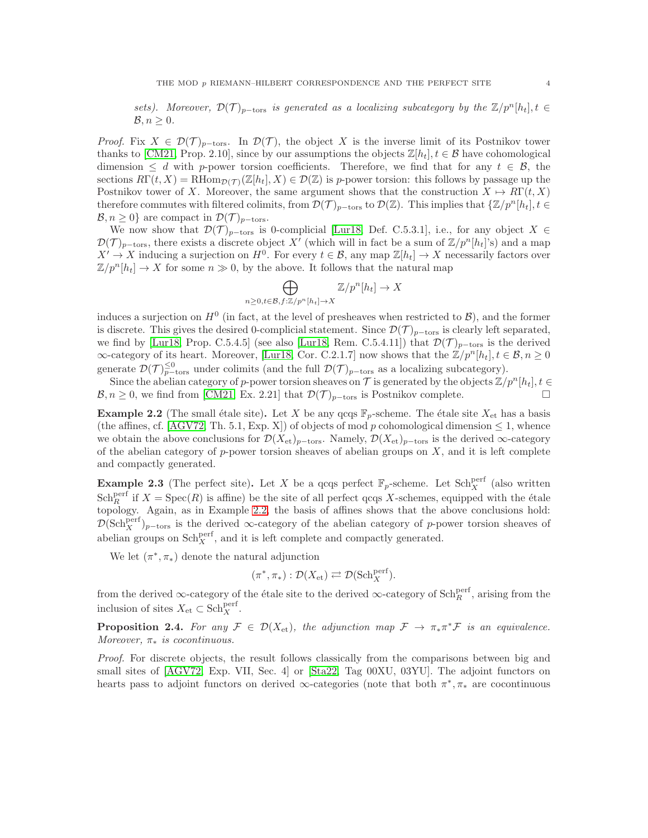sets). Moreover,  $\mathcal{D}(\mathcal{T})_{p-\text{tors}}$  is generated as a localizing subcategory by the  $\mathbb{Z}/p^n[h_t], t \in$  $\mathcal{B}, n \geq 0.$ 

*Proof.* Fix  $X \in \mathcal{D}(\mathcal{T})_{p-\text{tors}}$ . In  $\mathcal{D}(\mathcal{T})$ , the object X is the inverse limit of its Postnikov tower thanks to [\[CM21,](#page-23-10) Prop. 2.10], since by our assumptions the objects  $\mathbb{Z}[h_t], t \in \mathcal{B}$  have cohomological dimension  $\leq d$  with p-power torsion coefficients. Therefore, we find that for any  $t \in \mathcal{B}$ , the sections  $R\Gamma(t, X) = R\text{Hom}_{\mathcal{D}(\mathcal{T})}(\mathbb{Z}[h_t], X) \in \mathcal{D}(\mathbb{Z})$  is p-power torsion: this follows by passage up the Postnikov tower of X. Moreover, the same argument shows that the construction  $X \mapsto R\Gamma(t, X)$ therefore commutes with filtered colimits, from  $\mathcal{D}(\mathcal{T})_{p-\text{tors}}$  to  $\mathcal{D}(\mathbb{Z})$ . This implies that  $\{\mathbb{Z}/p^n[h_t], t \in$  $\mathcal{B}, n \geq 0$ } are compact in  $\mathcal{D}(\mathcal{T})_{p-\text{tors}}$ .

We now show that  $\mathcal{D}(\mathcal{T})_{p-\text{tors}}$  is 0-complicial [\[Lur18,](#page-24-4) Def. C.5.3.1], i.e., for any object  $X \in$  $\mathcal{D}(\mathcal{T})_{p-\text{tors}},$  there exists a discrete object X' (which will in fact be a sum of  $\mathbb{Z}/p^n[h_t]$ 's) and a map  $X' \to X$  inducing a surjection on  $H^0$ . For every  $t \in \mathcal{B}$ , any map  $\mathbb{Z}[h_t] \to X$  necessarily factors over  $\mathbb{Z}/p^n[h_t] \to X$  for some  $n \gg 0$ , by the above. It follows that the natural map

$$
\bigoplus_{n\geq 0, t\in\mathcal{B}, f:\mathbb{Z}/p^n[h_t]\to X}\mathbb{Z}/p^n[h_t]\to X
$$

induces a surjection on  $H^0$  (in fact, at the level of presheaves when restricted to  $\mathcal{B}$ ), and the former is discrete. This gives the desired 0-complicial statement. Since  $\mathcal{D}(\mathcal{T})_{p-\text{tors}}$  is clearly left separated, we find by [\[Lur18,](#page-24-4) Prop. C.5.4.5] (see also [Lur18, Rem. C.5.4.11]) that  $\mathcal{D}(\mathcal{T})_{p-\text{tors}}$  is the derived  $\infty$ -category of its heart. Moreover, [\[Lur18,](#page-24-4) Cor. C.2.1.7] now shows that the  $\mathbb{Z}/p^n[h_t], t \in \mathcal{B}, n \geq 0$ generate  $\mathcal{D}(\mathcal{T})_{p-\text{tors}}^{\leq 0}$  under colimits (and the full  $\mathcal{D}(\mathcal{T})_{p-\text{tors}}$  as a localizing subcategory).

Since the abelian category of p-power torsion sheaves on T is generated by the objects  $\mathbb{Z}/p^n[h_t], t \in$  $\mathcal{B}, n \geq 0$ , we find from [\[CM21,](#page-23-10) Ex. 2.21] that  $\mathcal{D}(\mathcal{T})_{p-\text{tors}}$  is Postnikov complete.

<span id="page-3-0"></span>**Example 2.2** (The small étale site). Let X be any qcqs  $\mathbb{F}_p$ -scheme. The étale site  $X_{\text{et}}$  has a basis (the affines, cf. [\[AGV72,](#page-23-9) Th. 5.1, Exp. X]) of objects of mod p cohomological dimension  $\leq 1$ , whence we obtain the above conclusions for  $\mathcal{D}(X_{\text{et}})_{p-\text{tors}}$ . Namely,  $\mathcal{D}(X_{\text{et}})_{p-\text{tors}}$  is the derived  $\infty$ -category of the abelian category of  $p$ -power torsion sheaves of abelian groups on  $X$ , and it is left complete and compactly generated.

**Example 2.3** (The perfect site). Let X be a qcqs perfect  $\mathbb{F}_p$ -scheme. Let Sch<sup>perf</sup> (also written  $Sch_R^{\text{perf}}$  if  $X = \text{Spec}(R)$  is affine) be the site of all perfect qcqs X-schemes, equipped with the étale topology. Again, as in Example [2.2,](#page-3-0) the basis of affines shows that the above conclusions hold:  $\mathcal{D}(\text{Sch}^{\text{perf}}_X)_{p-\text{tors}}$  is the derived ∞-category of the abelian category of p-power torsion sheaves of abelian groups on  $\text{Sch}^{\text{perf}}_X$ , and it is left complete and compactly generated.

We let  $(\pi^*, \pi_*)$  denote the natural adjunction

$$
(\pi^*, \pi_*) : \mathcal{D}(X_{\mathrm{et}}) \rightleftarrows \mathcal{D}(\mathrm{Sch}_X^{\mathrm{perf}}).
$$

from the derived ∞-category of the étale site to the derived ∞-category of  $\text{Sch}_{R}^{\text{perf}}$ , arising from the inclusion of sites  $X_{\text{et}} \subset \text{Sch}^{\text{perf}}_X$ .

<span id="page-3-1"></span>**Proposition 2.4.** For any  $\mathcal{F} \in \mathcal{D}(X_{et})$ , the adjunction map  $\mathcal{F} \to \pi_* \pi^* \mathcal{F}$  is an equivalence. Moreover,  $\pi_*$  is cocontinuous.

Proof. For discrete objects, the result follows classically from the comparisons between big and small sites of [\[AGV72,](#page-23-9) Exp. VII, Sec. 4] or [\[Sta22,](#page-24-6) Tag 00XU, 03YU]. The adjoint functors on hearts pass to adjoint functors on derived  $\infty$ -categories (note that both  $\pi^*, \pi_*$  are cocontinuous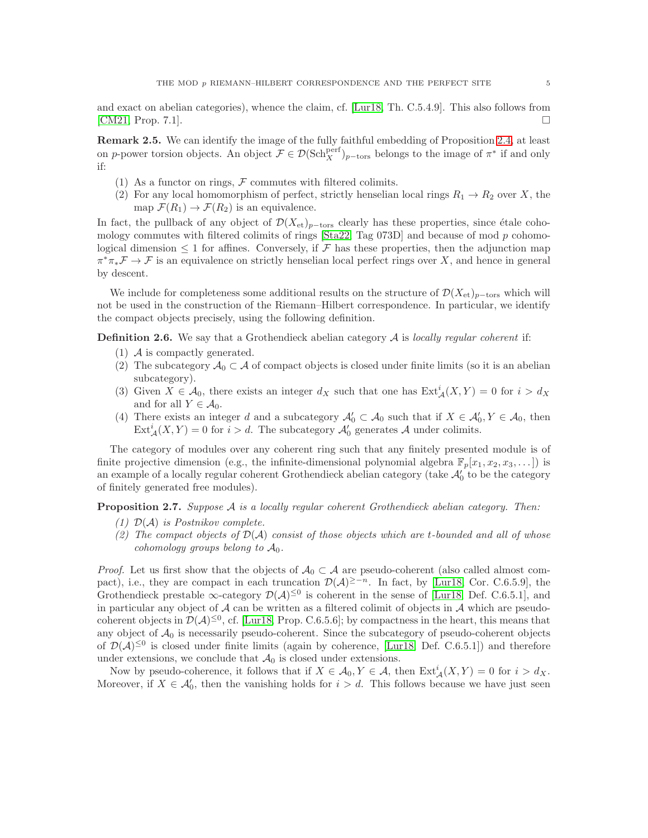and exact on abelian categories), whence the claim, cf. [\[Lur18,](#page-24-4) Th. C.5.4.9]. This also follows from [\[CM21,](#page-23-10) Prop. 7.1].

<span id="page-4-2"></span>Remark 2.5. We can identify the image of the fully faithful embedding of Proposition [2.4,](#page-3-1) at least on p-power torsion objects. An object  $\mathcal{F} \in \mathcal{D}(\text{Sch}^{\text{perf}}_X)_{p-\text{tors}}$  belongs to the image of  $\pi^*$  if and only if:

- (1) As a functor on rings,  $F$  commutes with filtered colimits.
- (2) For any local homomorphism of perfect, strictly henselian local rings  $R_1 \to R_2$  over X, the map  $\mathcal{F}(R_1) \to \mathcal{F}(R_2)$  is an equivalence.

In fact, the pullback of any object of  $\mathcal{D}(X_{et})_{p-\text{tors}}$  clearly has these properties, since étale coho-mology commutes with filtered colimits of rings [\[Sta22,](#page-24-6) Tag 073D] and because of mod p cohomological dimension  $\leq 1$  for affines. Conversely, if F has these properties, then the adjunction map  $\pi^*\pi_*\mathcal{F}\to\mathcal{F}$  is an equivalence on strictly henselian local perfect rings over X, and hence in general by descent.

We include for completeness some additional results on the structure of  $\mathcal{D}(X_{\text{et}})_{p-\text{tors}}$  which will not be used in the construction of the Riemann–Hilbert correspondence. In particular, we identify the compact objects precisely, using the following definition.

<span id="page-4-0"></span>**Definition 2.6.** We say that a Grothendieck abelian category  $A$  is locally regular coherent if:

- $(1)$  A is compactly generated.
- (2) The subcategory  $\mathcal{A}_0 \subset \mathcal{A}$  of compact objects is closed under finite limits (so it is an abelian subcategory).
- (3) Given  $X \in \mathcal{A}_0$ , there exists an integer  $d_X$  such that one has  $\text{Ext}^i_{\mathcal{A}}(X, Y) = 0$  for  $i > d_X$ and for all  $Y \in \mathcal{A}_0$ .
- (4) There exists an integer d and a subcategory  $\mathcal{A}'_0 \subset \mathcal{A}_0$  such that if  $X \in \mathcal{A}'_0, Y \in \mathcal{A}_0$ , then  $\text{Ext}_{\mathcal{A}}^{i}(X, Y) = 0$  for  $i > d$ . The subcategory  $\mathcal{A}'_0$  generates  $\mathcal{A}$  under colimits.

The category of modules over any coherent ring such that any finitely presented module is of finite projective dimension (e.g., the infinite-dimensional polynomial algebra  $\mathbb{F}_p[x_1, x_2, x_3, \dots]$ ) is an example of a locally regular coherent Grothendieck abelian category (take  $\mathcal{A}'_0$  to be the category of finitely generated free modules).

<span id="page-4-1"></span>**Proposition 2.7.** Suppose  $A$  is a locally regular coherent Grothendieck abelian category. Then:

- (1)  $\mathcal{D}(\mathcal{A})$  is Postnikov complete.
- (2) The compact objects of  $\mathcal{D}(\mathcal{A})$  consist of those objects which are t-bounded and all of whose cohomology groups belong to  $A_0$ .

*Proof.* Let us first show that the objects of  $A_0 \subset A$  are pseudo-coherent (also called almost compact), i.e., they are compact in each truncation  $\mathcal{D}(\mathcal{A})^{\geq -n}$ . In fact, by [\[Lur18,](#page-24-4) Cor. C.6.5.9], the Grothendieck prestable  $\infty$ -category  $\mathcal{D}(\mathcal{A})^{\leq 0}$  is coherent in the sense of [\[Lur18,](#page-24-4) Def. C.6.5.1], and in particular any object of  $A$  can be written as a filtered colimit of objects in  $A$  which are pseudocoherent objects in  $\mathcal{D}(\mathcal{A})^{\leq 0}$ , cf. [\[Lur18,](#page-24-4) Prop. C.6.5.6]; by compactness in the heart, this means that any object of  $A_0$  is necessarily pseudo-coherent. Since the subcategory of pseudo-coherent objects of  $\mathcal{D}(\mathcal{A})^{\leq 0}$  is closed under finite limits (again by coherence, [\[Lur18,](#page-24-4) Def. C.6.5.1]) and therefore under extensions, we conclude that  $\mathcal{A}_0$  is closed under extensions.

Now by pseudo-coherence, it follows that if  $X \in \mathcal{A}_0, Y \in \mathcal{A}$ , then  $\text{Ext}^i_{\mathcal{A}}(X, Y) = 0$  for  $i > d_X$ . Moreover, if  $X \in \mathcal{A}'_0$ , then the vanishing holds for  $i > d$ . This follows because we have just seen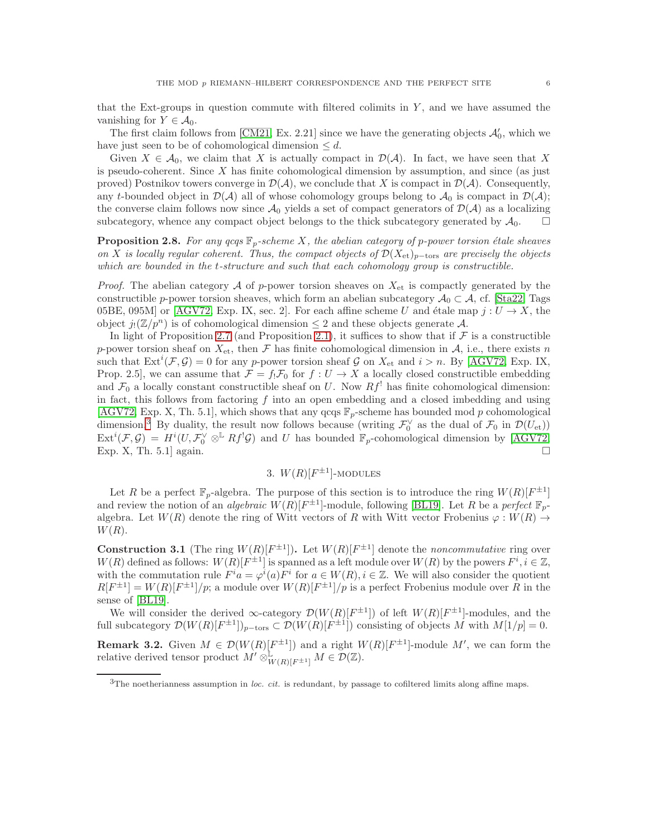that the Ext-groups in question commute with filtered colimits in  $Y$ , and we have assumed the vanishing for  $Y \in \mathcal{A}_0$ .

The first claim follows from [\[CM21,](#page-23-10) Ex. 2.21] since we have the generating objects  $\mathcal{A}'_0$ , which we have just seen to be of cohomological dimension  $\leq d$ .

Given  $X \in \mathcal{A}_0$ , we claim that X is actually compact in  $\mathcal{D}(\mathcal{A})$ . In fact, we have seen that X is pseudo-coherent. Since  $X$  has finite cohomological dimension by assumption, and since (as just proved) Postnikov towers converge in  $\mathcal{D}(\mathcal{A})$ , we conclude that X is compact in  $\mathcal{D}(\mathcal{A})$ . Consequently, any t-bounded object in  $\mathcal{D}(\mathcal{A})$  all of whose cohomology groups belong to  $\mathcal{A}_0$  is compact in  $\mathcal{D}(\mathcal{A})$ ; the converse claim follows now since  $\mathcal{A}_0$  yields a set of compact generators of  $\mathcal{D}(\mathcal{A})$  as a localizing subcategory, whence any compact object belongs to the thick subcategory generated by  $\mathcal{A}_0$ .  $\square$ 

<span id="page-5-1"></span>**Proposition 2.8.** For any  $q c q s \mathbb{F}_p$ -scheme X, the abelian category of p-power torsion étale sheaves on X is locally regular coherent. Thus, the compact objects of  $\mathcal{D}(X_{et})_{p-\text{tors}}$  are precisely the objects which are bounded in the t-structure and such that each cohomology group is constructible.

*Proof.* The abelian category A of p-power torsion sheaves on  $X_{\text{et}}$  is compactly generated by the constructible p-power torsion sheaves, which form an abelian subcategory  $\mathcal{A}_0 \subset \mathcal{A}$ , cf. [\[Sta22,](#page-24-6) Tags 05BE, 095M or [\[AGV72,](#page-23-9) Exp. IX, sec. 2]. For each affine scheme U and étale map  $j: U \to X$ , the object  $j_!({\mathbb Z}/p^n)$  is of cohomological dimension  $\leq 2$  and these objects generate A.

In light of Proposition [2.7](#page-4-1) (and Proposition [2.1\)](#page-2-0), it suffices to show that if  $\mathcal F$  is a constructible p-power torsion sheaf on  $X_{\text{et}}$ , then F has finite cohomological dimension in A, i.e., there exists n such that  $\text{Ext}^i(\mathcal{F}, \mathcal{G}) = 0$  for any p-power torsion sheaf  $\mathcal{G}$  on  $X_{\text{et}}$  and  $i > n$ . By [\[AGV72,](#page-23-9) Exp. IX, Prop. 2.5], we can assume that  $\mathcal{F} = f_1 \mathcal{F}_0$  for  $f: U \to X$  a locally closed constructible embedding and  $\mathcal{F}_0$  a locally constant constructible sheaf on U. Now  $Rf'$  has finite cohomological dimension: in fact, this follows from factoring  $f$  into an open embedding and a closed imbedding and using [\[AGV72,](#page-23-9) Exp. X, Th. 5.1], which shows that any qcqs  $\mathbb{F}_p$ -scheme has bounded mod p cohomological dimension.<sup>[3](#page-5-0)</sup> By duality, the result now follows because (writing  $\mathcal{F}_0^{\vee}$  as the dual of  $\mathcal{F}_0$  in  $\mathcal{D}(U_{\text{et}})$ )  $\text{Ext}^i(\mathcal{F}, \mathcal{G}) = H^i(U, \mathcal{F}_0^{\vee} \otimes^{\mathbb{L}} Rf^!\mathcal{G})$  and U has bounded  $\mathbb{F}_p$ -cohomological dimension by [\[AGV72,](#page-23-9) Exp. X, Th. 5.1] again.

# 3.  $W(R)[F^{\pm 1}]$ -MODULES

Let R be a perfect  $\mathbb{F}_p$ -algebra. The purpose of this section is to introduce the ring  $W(R)[F^{\pm 1}]$ and review the notion of an *algebraic*  $W(R)[F^{\pm 1}]$ -module, following [\[BL19\]](#page-23-3). Let R be a perfect  $\mathbb{F}_p$ algebra. Let  $W(R)$  denote the ring of Witt vectors of R with Witt vector Frobenius  $\varphi: W(R) \to$  $W(R)$ .

**Construction 3.1** (The ring  $W(R)[F^{\pm 1}]$ ). Let  $W(R)[F^{\pm 1}]$  denote the *noncommutative* ring over  $W(R)$  defined as follows:  $W(R)[F^{\pm 1}]$  is spanned as a left module over  $W(R)$  by the powers  $F^i, i \in \mathbb{Z}$ , with the commutation rule  $F^i a = \varphi^i(a) F^i$  for  $a \in W(R)$ ,  $i \in \mathbb{Z}$ . We will also consider the quotient  $R[F^{\pm 1}] = W(R)[F^{\pm 1}]/p$ ; a module over  $W(R)[F^{\pm 1}]/p$  is a perfect Frobenius module over R in the sense of [\[BL19\]](#page-23-3).

<span id="page-5-2"></span>We will consider the derived  $\infty$ -category  $\mathcal{D}(W(R)[F^{\pm 1}])$  of left  $W(R)[F^{\pm 1}]$ -modules, and the full subcategory  $\mathcal{D}(W(R)[F^{\pm 1}])_{p-\text{tors}} \subset \mathcal{D}(W(R)[F^{\pm 1}])$  consisting of objects M with  $M[1/p] = 0$ . **Remark 3.2.** Given  $M \in \mathcal{D}(W(R)[F^{\pm 1}])$  and a right  $W(R)[F^{\pm 1}]$ -module M', we can form the relative derived tensor product  $M' \otimes_{W(R)[F^{\pm 1}]}^{\mathbb{L}} M \in \mathcal{D}(\mathbb{Z})$ .

<span id="page-5-0"></span> $3$ The noetherianness assumption in loc. cit. is redundant, by passage to cofiltered limits along affine maps.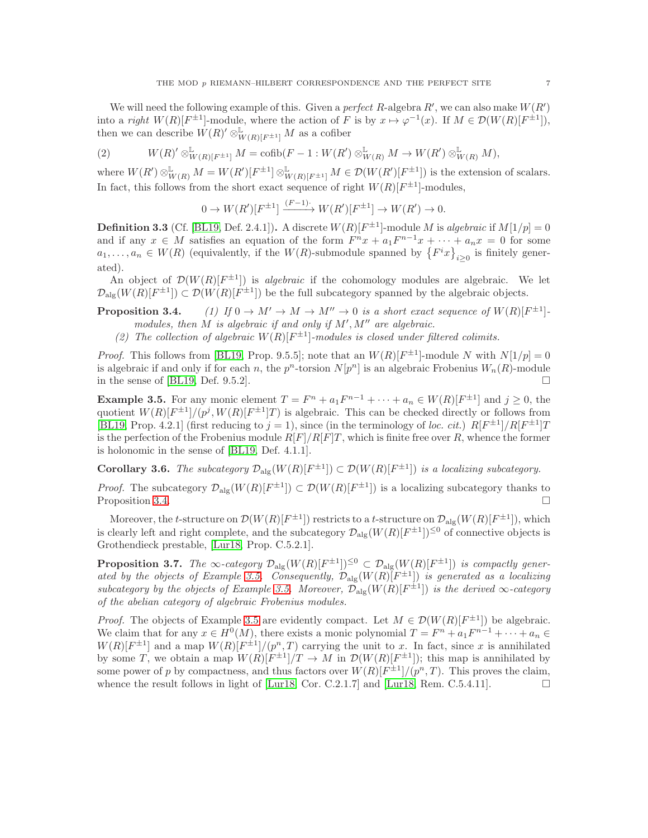We will need the following example of this. Given a perfect R-algebra  $R'$ , we can also make  $W(R')$ into a *right*  $W(R)[F^{\pm 1}]$ -module, where the action of F is by  $x \mapsto \varphi^{-1}(x)$ . If  $M \in \mathcal{D}(W(R)[F^{\pm 1}])$ , then we can describe  $\hat{W}(R)'\otimes^{\mathbb{L}}_{W(R)[F^{\pm 1}]} M$  as a cofiber

<span id="page-6-3"></span>
$$
(2) \t W(R)' \otimes^{\mathbb{L}}_{W(R)[F^{\pm 1}]} M = \operatorname{cofib}(F - 1: W(R') \otimes^{\mathbb{L}}_{W(R)} M \to W(R') \otimes^{\mathbb{L}}_{W(R)} M),
$$

where  $W(R') \otimes^{\mathbb{L}}_{W(R)} M = W(R')[F^{\pm 1}] \otimes^{\mathbb{L}}_{W(R)[F^{\pm 1}]} M \in \mathcal{D}(W(R')[F^{\pm 1}])$  is the extension of scalars. In fact, this follows from the short exact sequence of right  $W(R)[F^{\pm 1}]$ -modules,

$$
0 \to W(R')[F^{\pm 1}] \xrightarrow{(F-1)} W(R')[F^{\pm 1}] \to W(R') \to 0.
$$

**Definition 3.3** (Cf. [\[BL19,](#page-23-3) Def. 2.4.1]). A discrete  $W(R)[F^{\pm 1}]$ -module M is algebraic if  $M[1/p] = 0$ and if any  $x \in M$  satisfies an equation of the form  $F^n x + a_1 F^{n-1} x + \cdots + a_n x = 0$  for some  $a_1, \ldots, a_n \in W(R)$  (equivalently, if the  $W(R)$ -submodule spanned by  $\{F^i x\}_{i\geq 0}$  is finitely generated).

An object of  $\mathcal{D}(W(R)[F^{\pm 1}])$  is *algebraic* if the cohomology modules are algebraic. We let  $\mathcal{D}_{\text{alg}}(W(R)[F^{\pm 1}]) \subset \mathcal{D}(W(R)[F^{\pm 1}])$  be the full subcategory spanned by the algebraic objects.

<span id="page-6-0"></span>**Proposition 3.4.** (1) If  $0 \to M' \to M \to M'' \to 0$  is a short exact sequence of  $W(R)[F^{\pm 1}]$ . modules, then  $M$  is algebraic if and only if  $M', M''$  are algebraic.

(2) The collection of algebraic  $W(R)[F^{\pm 1}]$ -modules is closed under filtered colimits.

*Proof.* This follows from [\[BL19,](#page-23-3) Prop. 9.5.5]; note that an  $W(R)[F^{\pm 1}]$ -module N with  $N[1/p] = 0$ is algebraic if and only if for each n, the  $p^n$ -torsion  $N[p^n]$  is an algebraic Frobenius  $W_n(R)$ -module in the sense of [\[BL19,](#page-23-3) Def. 9.5.2].

<span id="page-6-1"></span>**Example 3.5.** For any monic element  $T = F^n + a_1 F^{n-1} + \cdots + a_n \in W(R)[F^{\pm 1}]$  and  $j \ge 0$ , the quotient  $W(R)[F^{\pm 1}]/(p^j, W(R)[F^{\pm 1}]T)$  is algebraic. This can be checked directly or follows from [\[BL19,](#page-23-3) Prop. 4.2.1] (first reducing to  $j = 1$ ), since (in the terminology of loc. cit.)  $R[F^{\pm 1}] / R[F^{\pm 1}]$ is the perfection of the Frobenius module  $R[F]/R[F]T$ , which is finite free over R, whence the former is holonomic in the sense of [\[BL19,](#page-23-3) Def. 4.1.1].

**Corollary 3.6.** The subcategory  $\mathcal{D}_{\text{alg}}(W(R)[F^{\pm 1}]) \subset \mathcal{D}(W(R)[F^{\pm 1}])$  is a localizing subcategory.

*Proof.* The subcategory  $\mathcal{D}_{\text{alg}}(W(R)[F^{\pm 1}]) \subset \mathcal{D}(W(R)[F^{\pm 1}])$  is a localizing subcategory thanks to Proposition [3.4.](#page-6-0)

Moreover, the t-structure on  $\mathcal{D}(W(R)[F^{\pm 1}])$  restricts to a t-structure on  $\mathcal{D}_{\text{alg}}(W(R)[F^{\pm 1}])$ , which is clearly left and right complete, and the subcategory  $\mathcal{D}_{\text{alg}}(W(R)[F^{\pm 1}])^{\leq 0}$  of connective objects is Grothendieck prestable, [\[Lur18,](#page-24-4) Prop. C.5.2.1].

<span id="page-6-2"></span>**Proposition 3.7.** The  $\infty$ -category  $\mathcal{D}_{\text{alg}}(W(R)[F^{\pm 1}])^{\leq 0} \subset \mathcal{D}_{\text{alg}}(W(R)[F^{\pm 1}])$  is compactly gener-ated by the objects of Example [3.5.](#page-6-1) Consequently,  $\mathcal{D}_{\text{alg}}(W(R)[F^{\pm 1}])$  is generated as a localizing subcategory by the objects of Example [3.5.](#page-6-1) Moreover,  $\mathcal{D}_{\text{alg}}(W(R)[F^{\pm 1}])$  is the derived  $\infty$ -category of the abelian category of algebraic Frobenius modules.

*Proof.* The objects of Example [3.5](#page-6-1) are evidently compact. Let  $M \in \mathcal{D}(W(R)[F^{\pm 1}])$  be algebraic. We claim that for any  $x \in H^0(M)$ , there exists a monic polynomial  $T = F^n + a_1 F^{n-1} + \cdots + a_n \in$  $W(R)[F^{\pm 1}]$  and a map  $W(R)[F^{\pm 1}]/(p^n,T)$  carrying the unit to x. In fact, since x is annihilated by some T, we obtain a map  $W(R)[F^{\pm 1}]/T \to M$  in  $\mathcal{D}(W(R)[F^{\pm 1}])$ ; this map is annihilated by some power of p by compactness, and thus factors over  $W(R)[F^{\pm 1}]/(p^n,T)$ . This proves the claim, whence the result follows in light of [\[Lur18,](#page-24-4) Cor. C.2.1.7] and [Lur18, Rem. C.5.4.11].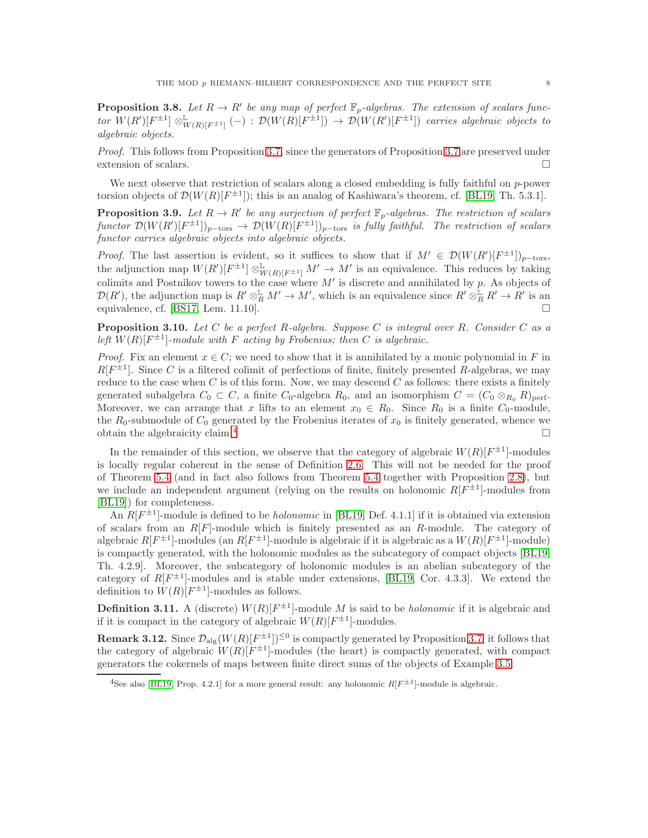**Proposition 3.8.** Let  $R \to R'$  be any map of perfect  $\mathbb{F}_p$ -algebras. The extension of scalars func- $\mathcal{L}$  tor  $W(R')[F^{\pm 1}] \otimes^{\mathbb{L}}_{W(R)[F^{\pm 1}]} (-) : \mathcal{D}(W(R)[F^{\pm 1}]) \rightarrow \mathcal{D}(W(R')[F^{\pm 1}])$  carries algebraic objects to algebraic objects.

Proof. This follows from Proposition [3.7,](#page-6-2) since the generators of Proposition [3.7](#page-6-2) are preserved under extension of scalars.

We next observe that restriction of scalars along a closed embedding is fully faithful on p-power torsion objects of  $\mathcal{D}(W(R)[F^{\pm 1}])$ ; this is an analog of Kashiwara's theorem, cf. [\[BL19,](#page-23-3) Th. 5.3.1].

**Proposition 3.9.** Let  $R \to R'$  be any surjection of perfect  $\mathbb{F}_p$ -algebras. The restriction of scalars functor  $\mathcal{D}(W(R')[F^{\pm 1}])_{p-\text{tors}} \to \mathcal{D}(W(R)[F^{\pm 1}])_{p-\text{tors}}$  is fully faithful. The restriction of scalars functor carries algebraic objects into algebraic objects.

*Proof.* The last assertion is evident, so it suffices to show that if  $M' \in \mathcal{D}(W(R')[F^{\pm 1}])_{p-\text{tors}}$ , the adjunction map  $W(R')[F^{\pm 1}] \otimes^{\mathbb{L}}_{W(R)[F^{\pm 1}]} M' \to M'$  is an equivalence. This reduces by taking colimits and Postnikov towers to the case where  $M'$  is discrete and annihilated by  $p$ . As objects of  $\mathcal{D}(R')$ , the adjunction map is  $R' \otimes_R^{\mathbb{L}} M' \to M'$ , which is an equivalence since  $R' \otimes_R^{\mathbb{L}} R' \to R'$  is an equivalence, cf. [\[BS17,](#page-23-8) Lem. 11.10].

<span id="page-7-3"></span>**Proposition 3.10.** Let C be a perfect R-algebra. Suppose C is integral over R. Consider C as a left  $W(R)[F^{\pm 1}]$ -module with F acting by Frobenius; then C is algebraic.

*Proof.* Fix an element  $x \in C$ ; we need to show that it is annihilated by a monic polynomial in F in  $R[F^{\pm 1}]$ . Since C is a filtered colimit of perfections of finite, finitely presented R-algebras, we may reduce to the case when  $C$  is of this form. Now, we may descend  $C$  as follows: there exists a finitely generated subalgebra  $C_0 \subset C$ , a finite  $C_0$ -algebra  $R_0$ , and an isomorphism  $C = (C_0 \otimes_{R_0} R)_{perf}$ . Moreover, we can arrange that x lifts to an element  $x_0 \in R_0$ . Since  $R_0$  is a finite  $C_0$ -module, the  $R_0$ -submodule of  $C_0$  generated by the Frobenius iterates of  $x_0$  is finitely generated, whence we obtain the algebraicity claim.<sup>[4](#page-7-0)</sup>

In the remainder of this section, we observe that the category of algebraic  $W(R)[F^{\pm 1}]$ -modules is locally regular coherent in the sense of Definition [2.6.](#page-4-0) This will not be needed for the proof of Theorem [5.4](#page-11-0) (and in fact also follows from Theorem [5.4](#page-11-0) together with Proposition [2.8\)](#page-5-1), but we include an independent argument (relying on the results on holonomic  $R[F^{\pm 1}]$ -modules from [\[BL19\]](#page-23-3)) for completeness.

An  $R[F^{\pm 1}]$ -module is defined to be *holonomic* in [\[BL19,](#page-23-3) Def. 4.1.1] if it is obtained via extension of scalars from an  $R[F]$ -module which is finitely presented as an R-module. The category of algebraic  $R[F^{\pm 1}]$ -modules (an  $R[F^{\pm 1}]$ -module is algebraic if it is algebraic as a  $W(R)[F^{\pm 1}]$ -module) is compactly generated, with the holonomic modules as the subcategory of compact objects [\[BL19,](#page-23-3) Th. 4.2.9]. Moreover, the subcategory of holonomic modules is an abelian subcategory of the category of  $R[F^{\pm 1}]$ -modules and is stable under extensions, [\[BL19,](#page-23-3) Cor. 4.3.3]. We extend the definition to  $W(R)[F^{\pm 1}]$ -modules as follows.

**Definition 3.11.** A (discrete)  $W(R)[F^{\pm 1}]$ -module M is said to be *holonomic* if it is algebraic and if it is compact in the category of algebraic  $W(R)[F^{\pm 1}]$ -modules.

<span id="page-7-1"></span>**Remark 3.12.** Since  $\mathcal{D}_{\text{alg}}(W(R)[F^{\pm 1}])^{\leq 0}$  is compactly generated by Proposition [3.7,](#page-6-2) it follows that the category of algebraic  $W(R)[F^{\pm 1}]$ -modules (the heart) is compactly generated, with compact generators the cokernels of maps between finite direct sums of the objects of Example [3.5.](#page-6-1)

<span id="page-7-2"></span><span id="page-7-0"></span><sup>&</sup>lt;sup>4</sup>See also [\[BL19,](#page-23-3) Prop. 4.2.1] for a more general result: any holonomic  $R[F^{\pm 1}]$ -module is algebraic.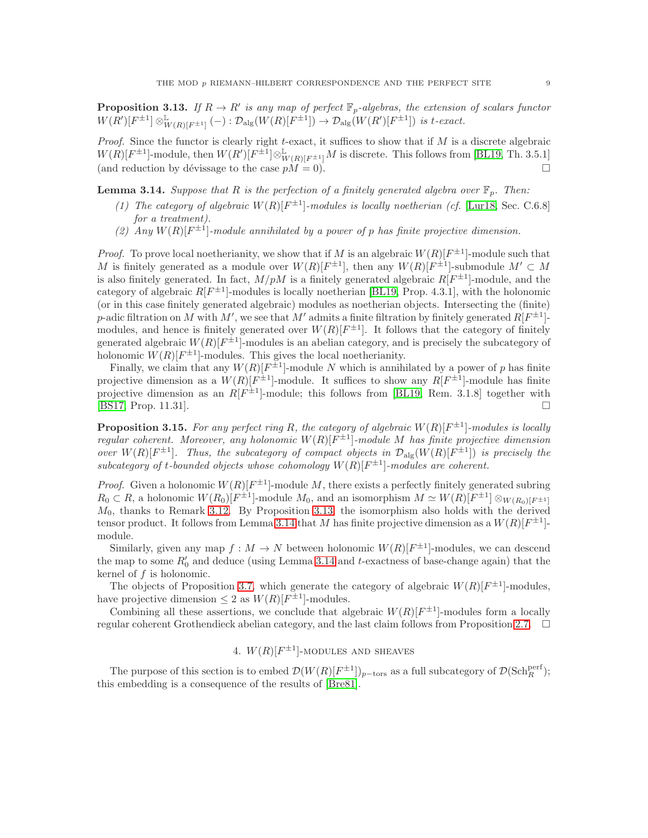**Proposition 3.13.** If  $R \to R'$  is any map of perfect  $\mathbb{F}_p$ -algebras, the extension of scalars functor  $W(R')[F^{\pm 1}] \otimes^{\mathbb{L}}_{W(R)[F^{\pm 1}]} (-) : \mathcal{D}_{\mathrm{alg}}(W(R)[F^{\pm 1}]) \to \mathcal{D}_{\mathrm{alg}}(W(R')[F^{\pm 1}]) \text{ is } t\text{-}exact.$ 

*Proof.* Since the functor is clearly right t-exact, it suffices to show that if  $M$  is a discrete algebraic  $W(R)[F^{\pm 1}]$ -module, then  $W(R')[F^{\pm 1}]\otimes^{\mathbb{L}}_{W(R)[F^{\pm 1}]}M$  is discrete. This follows from [\[BL19,](#page-23-3) Th. 3.5.1] (and reduction by dévissage to the case  $pM = 0$ ).

**Lemma 3.14.** Suppose that R is the perfection of a finitely generated algebra over  $\mathbb{F}_p$ . Then:

- (1) The category of algebraic  $W(R)[F^{\pm 1}]$ -modules is locally noetherian (cf. [\[Lur18,](#page-24-4) Sec. C.6.8] for a treatment).
- <span id="page-8-0"></span>(2) Any  $W(R)[F^{\pm 1}]$ -module annihilated by a power of p has finite projective dimension.

*Proof.* To prove local noetherianity, we show that if M is an algebraic  $W(R)[F^{\pm 1}]$ -module such that M is finitely generated as a module over  $W(R)[F^{\pm 1}]$ , then any  $W(R)[F^{\pm 1}]$ -submodule  $M' \subset M$ is also finitely generated. In fact,  $M/pM$  is a finitely generated algebraic  $R[F^{\pm 1}]$ -module, and the category of algebraic  $R[F^{\pm 1}]$ -modules is locally noetherian [\[BL19,](#page-23-3) Prop. 4.3.1], with the holonomic (or in this case finitely generated algebraic) modules as noetherian objects. Intersecting the (finite) p-adic filtration on M with M', we see that M' admits a finite filtration by finitely generated  $R[F^{\pm 1}]$ modules, and hence is finitely generated over  $W(R)[F^{\pm 1}]$ . It follows that the category of finitely generated algebraic  $W(R)[F^{\pm 1}]$ -modules is an abelian category, and is precisely the subcategory of holonomic  $W(R)[F^{\pm 1}]$ -modules. This gives the local noetherianity.

Finally, we claim that any  $W(R)[F^{\pm 1}]$ -module N which is annihilated by a power of p has finite projective dimension as a  $W(R)[F^{\pm 1}]$ -module. It suffices to show any  $R[F^{\pm 1}]$ -module has finite projective dimension as an  $R[F^{\pm 1}]$ -module; this follows from [\[BL19,](#page-23-3) Rem. 3.1.8] together with [\[BS17,](#page-23-8) Prop. 11.31].

<span id="page-8-2"></span>**Proposition 3.15.** For any perfect ring R, the category of algebraic  $W(R)[F^{\pm 1}]$ -modules is locally regular coherent. Moreover, any holonomic  $W(R)[F^{\pm 1}]$ -module M has finite projective dimension over  $W(R)[F^{\pm 1}]$ . Thus, the subcategory of compact objects in  $\mathcal{D}_{\text{alg}}(W(R)[F^{\pm 1}])$  is precisely the subcategory of t-bounded objects whose cohomology  $W(R)[F^{\pm 1}]$ -modules are coherent.

*Proof.* Given a holonomic  $W(R)[F^{\pm 1}]$ -module M, there exists a perfectly finitely generated subring  $R_0 \subset R$ , a holonomic  $W(R_0)[F^{\pm 1}]$ -module  $M_0$ , and an isomorphism  $M \simeq W(R)[F^{\pm 1}] \otimes_{W(R_0)[F^{\pm 1}]}$  $M_0$ , thanks to Remark [3.12.](#page-7-1) By Proposition [3.13,](#page-7-2) the isomorphism also holds with the derived tensor product. It follows from Lemma [3.14](#page-8-0) that M has finite projective dimension as a  $W(R)[F^{\pm 1}]$ module.

Similarly, given any map  $f: M \to N$  between holonomic  $W(R)[F^{\pm 1}]$ -modules, we can descend the map to some  $R'_0$  and deduce (using Lemma [3.14](#page-8-0) and t-exactness of base-change again) that the kernel of  $f$  is holonomic.

The objects of Proposition [3.7,](#page-6-2) which generate the category of algebraic  $W(R)[F^{\pm 1}]$ -modules, have projective dimension  $\leq 2$  as  $W(R)[F^{\pm 1}]$ -modules.

Combining all these assertions, we conclude that algebraic  $W(R)[F^{\pm 1}]$ -modules form a locally regular coherent Grothendieck abelian category, and the last claim follows from Proposition [2.7.](#page-4-1)  $\Box$ 

# 4.  $W(R)[F^{\pm 1}]$ -MODULES AND SHEAVES

<span id="page-8-1"></span>The purpose of this section is to embed  $\mathcal{D}(W(R)[F^{\pm 1}])_{p-\text{tors}}$  as a full subcategory of  $\mathcal{D}(\text{Sch}_{R}^{\text{perf}})$ ; this embedding is a consequence of the results of [\[Bre81\]](#page-23-4).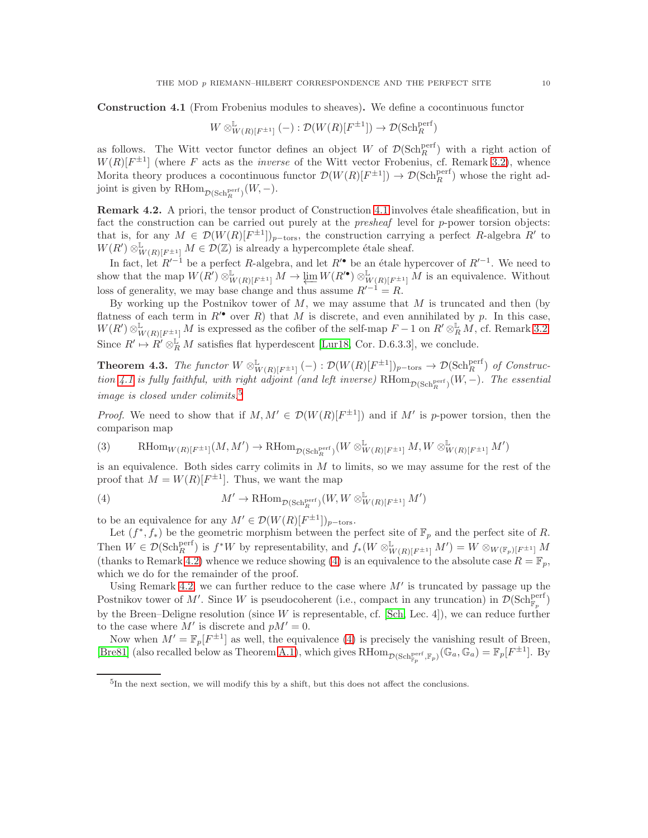Construction 4.1 (From Frobenius modules to sheaves). We define a cocontinuous functor

$$
W\otimes^{\mathbb{L}}_{W(R)[F^{\pm 1}]} (-): \mathcal{D}(W(R)[F^{\pm 1}]) \to \mathcal{D}(\mathrm{Sch}^{\mathrm{perf}}_{R})
$$

as follows. The Witt vector functor defines an object W of  $\mathcal{D}(\text{Sch}^{\text{perf}}_{R})$  with a right action of  $W(R)[F^{\pm 1}]$  (where F acts as the *inverse* of the Witt vector Frobenius, cf. Remark [3.2\)](#page-5-2), whence Morita theory produces a cocontinuous functor  $\mathcal{D}(W(R)[F^{\pm 1}]) \to \mathcal{D}(\text{Sch}_{R}^{\text{perf}})$  whose the right adjoint is given by  $\mathrm{RHom}_{\mathcal{D}(\mathrm{Sch}_R^{\mathrm{perf}})}(W, -).$ 

<span id="page-9-2"></span>Remark 4.2. A priori, the tensor product of Construction [4.1](#page-8-1) involves étale sheafification, but in fact the construction can be carried out purely at the *presheaf* level for *p*-power torsion objects: that is, for any  $M \in \mathcal{D}(W(R)[F^{\pm 1}])_{p-\text{tors}}$ , the construction carrying a perfect R-algebra R' to  $W(R') \otimes^{\mathbb{L}}_{W(R)[F^{\pm 1}]} M \in \mathcal{D}(\mathbb{Z})$  is already a hypercomplete étale sheaf.

In fact, let  $R'^{-1}$  be a perfect R-algebra, and let  $R'^{\bullet}$  be an étale hypercover of  $R'^{-1}$ . We need to show that the map  $W(R') \otimes^{\mathbb{L}}_{W(R)[F^{\pm 1}]} M \to \varprojlim W(R'^{\bullet}) \otimes^{\mathbb{L}}_{W(R)[F^{\pm 1}]} M$  is an equivalence. Without loss of generality, we may base change and thus assume  $R^{7-1} = R$ .

By working up the Postnikov tower of  $M$ , we may assume that  $M$  is truncated and then (by flatness of each term in  $R'$  over R) that M is discrete, and even annihilated by p. In this case,  $W(R')\otimes^{\mathbb{L}}_{W(R)[F^{\pm 1}]} M$  is expressed as the cofiber of the self-map  $F-1$  on  $R'\otimes^{\mathbb{L}}_{R} M$ , cf. Remark [3.2.](#page-5-2) Since  $R' \mapsto R' \otimes_R^{\mathbb{L}} M$  satisfies flat hyperdescent [\[Lur18,](#page-24-4) Cor. D.6.3.3], we conclude.

<span id="page-9-0"></span>**Theorem 4.3.** The functor  $W \otimes^{\mathbb{L}}_{W(R)[F^{\pm 1}]} (-) : \mathcal{D}(W(R)[F^{\pm 1}])_{p-\text{tors}} \to \mathcal{D}(\text{Sch}_{R}^{\text{perf}})$  of Construc-tion [4.1](#page-8-1) is fully faithful, with right adjoint (and left inverse)  $\text{RHom}_{\mathcal{D}(\text{Sch}_{R}^{\text{perf}})}(W,-)$ . The essential image is closed under colimits.<sup>[5](#page-9-1)</sup>

*Proof.* We need to show that if  $M, M' \in \mathcal{D}(W(R)[F^{\pm 1}])$  and if M' is p-power torsion, then the comparison map

(3) 
$$
\qquad \text{RHom}_{W(R)[F^{\pm 1}]}(M, M') \to \text{RHom}_{\mathcal{D}(\text{Sch}^{\text{perf}}_R)}(W \otimes^{\mathbb{L}}_{W(R)[F^{\pm 1}]} M, W \otimes^{\mathbb{L}}_{W(R)[F^{\pm 1}]} M')
$$

is an equivalence. Both sides carry colimits in  $M$  to limits, so we may assume for the rest of the proof that  $M = W(R)[F^{\pm 1}]$ . Thus, we want the map

<span id="page-9-3"></span>(4) 
$$
M' \to \mathrm{RHom}_{\mathcal{D}(\mathrm{Sch}_R^{\mathrm{perf}})}(W, W \otimes^{\mathbb{L}}_{W(R)[F^{\pm 1}]} M')
$$

to be an equivalence for any  $M' \in \mathcal{D}(W(R)[F^{\pm 1}])_{p-\text{tors}}$ .

Let  $(f^*, f_*)$  be the geometric morphism between the perfect site of  $\mathbb{F}_p$  and the perfect site of R. Then  $W \in \mathcal{D}(\text{Sch}_{R}^{\text{perf}})$  is  $f^*W$  by representability, and  $f_*(W \otimes^{\mathbb{L}}_{W(R)[F^{\pm 1}]} M') = W \otimes_{W(\mathbb{F}_p)[F^{\pm 1}]} M$ (thanks to Remark [4.2\)](#page-9-2) whence we reduce showing [\(4\)](#page-9-3) is an equivalence to the absolute case  $R = \mathbb{F}_p$ , which we do for the remainder of the proof.

Using Remark [4.2,](#page-9-2) we can further reduce to the case where  $M'$  is truncated by passage up the Postnikov tower of M'. Since W is pseudocoherent (i.e., compact in any truncation) in  $\mathcal{D}(\text{Sch}^{\text{perf}}_{\mathbb{F}_p})$ by the Breen–Deligne resolution (since W is representable, cf. [\[Sch,](#page-24-5) Lec. 4]), we can reduce further to the case where  $M'$  is discrete and  $pM' = 0$ .

Now when  $M' = \mathbb{F}_p[F^{\pm 1}]$  as well, the equivalence [\(4\)](#page-9-3) is precisely the vanishing result of Breen, [\[Bre81\]](#page-23-4) (also recalled below as Theorem [A.1\)](#page-18-0), which gives  $\text{RHom}_{\mathcal{D}(\text{Sch}^{\text{perf}}_{\mathbb{F}_p}, \mathbb{F}_p)}(\mathbb{G}_a, \mathbb{G}_a) = \mathbb{F}_p[F^{\pm 1}]$ . By

<span id="page-9-1"></span><sup>5</sup> In the next section, we will modify this by a shift, but this does not affect the conclusions.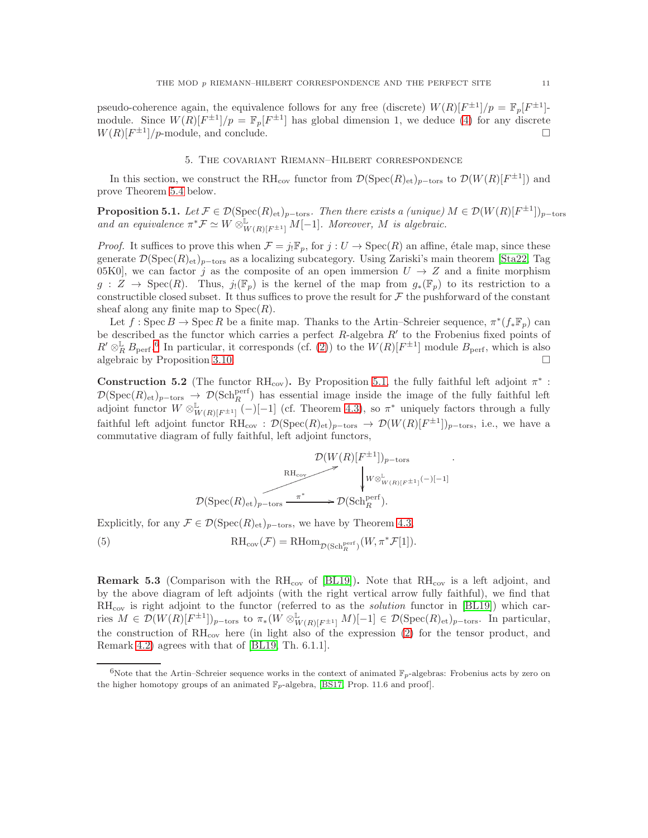pseudo-coherence again, the equivalence follows for any free (discrete)  $W(R)[F^{\pm 1}]/p = \mathbb{F}_p[F^{\pm 1}]$ module. Since  $W(R)[F^{\pm 1}]/p = \mathbb{F}_p[F^{\pm 1}]$  has global dimension 1, we deduce [\(4\)](#page-9-3) for any discrete  $W(R)[F^{\pm 1}]/p$ -module, and conclude.

## 5. The covariant Riemann–Hilbert correspondence

<span id="page-10-2"></span>In this section, we construct the RH<sub>cov</sub> functor from  $\mathcal{D}(\mathrm{Spec}(R)_{\mathrm{et}})_{p-\mathrm{tors}}$  to  $\mathcal{D}(W(R)[F^{\pm 1}])$  and prove Theorem [5.4](#page-11-0) below.

**Proposition 5.1.** Let  $\mathcal{F} \in \mathcal{D}(\text{Spec}(R)_{\text{et}})_{p-\text{tors}}$ . Then there exists a (unique)  $M \in \mathcal{D}(W(R)[F^{\pm 1}])_{p-\text{tors}}$ and an equivalence  $\pi^* \mathcal{F} \simeq W \otimes^{\mathbb{L}}_{W(R)[F^{\pm 1}]} M[-1]$ . Moreover, M is algebraic.

*Proof.* It suffices to prove this when  $\mathcal{F} = j_! \mathbb{F}_p$ , for  $j : U \to \text{Spec}(R)$  an affine, étale map, since these generate  $\mathcal{D}(\text{Spec}(R)_{\text{et}})_{p-\text{tors}}$  as a localizing subcategory. Using Zariski's main theorem [\[Sta22,](#page-24-6) Tag 05K0], we can factor j as the composite of an open immersion  $U \rightarrow Z$  and a finite morphism  $g: Z \to \text{Spec}(R)$ . Thus,  $j_!(\mathbb{F}_p)$  is the kernel of the map from  $g_*(\mathbb{F}_p)$  to its restriction to a constructible closed subset. It thus suffices to prove the result for  $\mathcal F$  the pushforward of the constant sheaf along any finite map to  $Spec(R)$ .

Let  $f: \operatorname{Spec} B \to \operatorname{Spec} R$  be a finite map. Thanks to the Artin–Schreier sequence,  $\pi^*(f_*\mathbb{F}_p)$  can be described as the functor which carries a perfect  $R$ -algebra  $R'$  to the Frobenius fixed points of  $R' \otimes_R^{\mathbb{L}} B_{\text{perf}}^{\bullet}$ . In particular, it corresponds (cf. [\(2\)](#page-6-3)) to the  $W(R)[F^{\pm 1}]$  module  $B_{\text{perf}}^{\bullet}$ , which is also algebraic by Proposition [3.10.](#page-7-3)

<span id="page-10-0"></span>**Construction 5.2** (The functor RH<sub>cov</sub>). By Proposition [5.1,](#page-10-2) the fully faithful left adjoint  $\pi^*$ :  $\mathcal{D}(\text{Spec}(R)_{\text{et}})_{p-\text{tors}} \to \mathcal{D}(\text{Sch}^{\text{perf}}_R)$  has essential image inside the image of the fully faithful left adjoint functor  $W \otimes^{\mathbb{L}}_{W(R)[F^{\pm 1}]} (-)[-1]$  (cf. Theorem [4.3\)](#page-9-0), so  $\pi^*$  uniquely factors through a fully faithful left adjoint functor  $\mathrm{RH}_{\mathrm{cov}} : \mathcal{D}(\mathrm{Spec}(R)_{\mathrm{\acute{e}t}})_{p-\mathrm{tors}} \to \mathcal{D}(W(R)[F^{\pm 1}])_{p-\mathrm{tors}},$  i.e., we have a commutative diagram of fully faithful, left adjoint functors,

<span id="page-10-3"></span>
$$
\mathcal{D}(W(R)[F^{\pm 1}])_{p-\text{tors}} \longrightarrow \bigvee_{W \otimes^{\mathbb{L}}_{W(R)[F^{\pm 1}]} (-)[-1] \times \mathcal{D}(\text{Spec}(R)_{\text{et}})_{p-\text{tors}} \xrightarrow{\pi^*} \mathcal{D}(\text{Sch}_{R}^{\text{perf}}).
$$

Explicitly, for any  $\mathcal{F} \in \mathcal{D}(\mathrm{Spec}(R)_{\mathrm{et}})_{p-\mathrm{tors}},$  we have by Theorem [4.3,](#page-9-0)

(5) 
$$
\mathrm{RH}_{\mathrm{cov}}(\mathcal{F}) = \mathrm{RHom}_{\mathcal{D}(\mathrm{Sch}^{\mathrm{perf}}_{R})}(W, \pi^* \mathcal{F}[1]).
$$

**Remark 5.3** (Comparison with the  $RH_{cov}$  of [\[BL19\]](#page-23-3)). Note that  $RH_{cov}$  is a left adjoint, and by the above diagram of left adjoints (with the right vertical arrow fully faithful), we find that  $RH_{cov}$  is right adjoint to the functor (referred to as the *solution* functor in [\[BL19\]](#page-23-3)) which carries  $M \in \mathcal{D}(W(R)[F^{\pm 1}])_{p-\text{tors}}$  to  $\pi_*(\hat{W} \otimes^{\mathbb{L}}_{W(R)[F^{\pm 1}]} M)[-1] \in \mathcal{D}(\mathrm{Spec}(R)_{\text{et}})_{p-\text{tors}}$ . In particular, the construction of  $\mathrm{RH}_{\mathrm{cov}}$  here (in light also of the expression [\(2\)](#page-6-3) for the tensor product, and Remark [4.2\)](#page-9-2) agrees with that of [\[BL19,](#page-23-3) Th. 6.1.1].

<span id="page-10-1"></span><sup>&</sup>lt;sup>6</sup>Note that the Artin–Schreier sequence works in the context of animated  $\mathbb{F}_n$ -algebras: Frobenius acts by zero on the higher homotopy groups of an animated  $\mathbb{F}_p$ -algebra, [\[BS17,](#page-23-8) Prop. 11.6 and proof].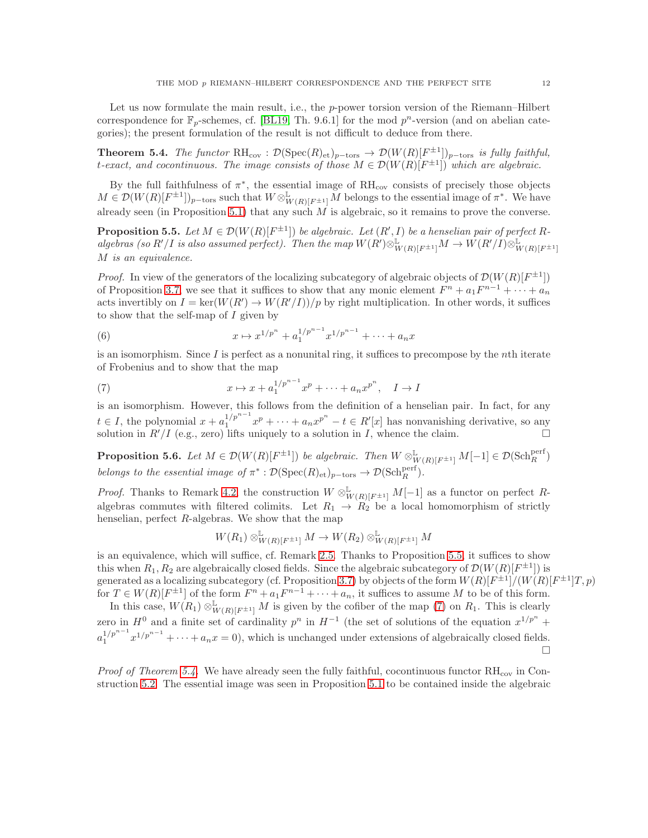Let us now formulate the main result, i.e., the  $p$ -power torsion version of the Riemann–Hilbert correspondence for  $\mathbb{F}_p$ -schemes, cf. [\[BL19,](#page-23-3) Th. 9.6.1] for the mod  $p^n$ -version (and on abelian categories); the present formulation of the result is not difficult to deduce from there.

<span id="page-11-0"></span>**Theorem 5.4.** The functor  $RH_{cov} : \mathcal{D}(Spec(R)_{et})_{p-\text{tors}} \to \mathcal{D}(W(R)[F^{\pm 1}])_{p-\text{tors}}$  is fully faithful, t-exact, and cocontinuous. The image consists of those  $M \in \mathcal{D}(W(R)[F^{\pm 1}])$  which are algebraic.

By the full faithfulness of  $\pi^*$ , the essential image of  $\mathrm{RH}_{\mathrm{cov}}$  consists of precisely those objects  $M \in \mathcal{D}(W(R)[F^{\pm 1}])_{p-\text{tors}}$  such that  $W \otimes^{\mathbb{L}}_{W(R)[F^{\pm 1}]} M$  belongs to the essential image of  $\pi^*$ . We have already seen (in Proposition [5.1\)](#page-10-2) that any such  $\overrightarrow{M}$  is algebraic, so it remains to prove the converse.

<span id="page-11-1"></span>**Proposition 5.5.** Let  $M \in \mathcal{D}(W(R)[F^{\pm 1}])$  be algebraic. Let  $(R', I)$  be a henselian pair of perfect Ralgebras (so R'/I is also assumed perfect). Then the map  $W(R') \otimes^{\mathbb{L}}_{W(R)[F^{\pm 1}]} M \to W(R'/I) \otimes^{\mathbb{L}}_{W(R)[F^{\pm 1}]}$ M is an equivalence.

*Proof.* In view of the generators of the localizing subcategory of algebraic objects of  $\mathcal{D}(W(R)[F^{\pm 1}])$ of Proposition [3.7,](#page-6-2) we see that it suffices to show that any monic element  $F^n + a_1 F^{n-1} + \cdots + a_n$ acts invertibly on  $I = \ker(W(R') \to W(R'/I))/p$  by right multiplication. In other words, it suffices to show that the self-map of I given by

<span id="page-11-4"></span>(6) 
$$
x \mapsto x^{1/p^n} + a_1^{1/p^{n-1}} x^{1/p^{n-1}} + \cdots + a_n x
$$

is an isomorphism. Since  $I$  is perfect as a nonunital ring, it suffices to precompose by the *n*th iterate of Frobenius and to show that the map

<span id="page-11-2"></span>(7) 
$$
x \mapsto x + a_1^{1/p^{n-1}} x^p + \dots + a_n x^{p^n}, \quad I \to I
$$

is an isomorphism. However, this follows from the definition of a henselian pair. In fact, for any  $t \in I$ , the polynomial  $x + a_1^{1/p^{n-1}}x^p + \cdots + a_nx^{p^n} - t \in R'[x]$  has nonvanishing derivative, so any solution in  $R'/I$  (e.g., zero) lifts uniquely to a solution in I, whence the claim.

<span id="page-11-3"></span>**Proposition 5.6.** Let  $M \in \mathcal{D}(W(R)[F^{\pm 1}])$  be algebraic. Then  $W \otimes^{\mathbb{L}}_{W(R)[F^{\pm 1}]} M[-1] \in \mathcal{D}(\text{Sch}_{R}^{\text{perf}})$ belongs to the essential image of  $\pi^* : \mathcal{D}(\mathrm{Spec}(R)_{\mathrm{et}})_{p-\text{tors}} \to \mathcal{D}(\mathrm{Sch}_R^{\mathrm{perf}})$ .

*Proof.* Thanks to Remark [4.2,](#page-9-2) the construction  $W \otimes^{\mathbb{L}}_{W(R)[F^{\pm 1}]} M[-1]$  as a functor on perfect Ralgebras commutes with filtered colimits. Let  $R_1 \rightarrow R_2$  be a local homomorphism of strictly henselian, perfect R-algebras. We show that the map

$$
W(R_1) \otimes^{\mathbb{L}}_{W(R)[F^{\pm 1}]} M \to W(R_2) \otimes^{\mathbb{L}}_{W(R)[F^{\pm 1}]} M
$$

is an equivalence, which will suffice, cf. Remark [2.5.](#page-4-2) Thanks to Proposition [5.5,](#page-11-1) it suffices to show this when  $R_1, R_2$  are algebraically closed fields. Since the algebraic subcategory of  $\mathcal{D}(W(R)[F^{\pm 1}])$  is generated as a localizing subcategory (cf. Proposition [3.7\)](#page-6-2) by objects of the form  $W(R)[F^{\pm 1}]/(W(R)[F^{\pm 1}]T,p)$ for  $T \in W(R)[F^{\pm 1}]$  of the form  $F^n + a_1 F^{n-1} + \cdots + a_n$ , it suffices to assume M to be of this form.

In this case,  $W(R_1) \otimes^{\mathbb{L}}_{W(R)[F^{\pm 1}]} M$  is given by the cofiber of the map [\(7\)](#page-11-2) on  $R_1$ . This is clearly zero in  $H^0$  and a finite set of cardinality  $p^n$  in  $H^{-1}$  (the set of solutions of the equation  $x^{1/p^n}$  +  $a_1^{1/p^{n-1}}x^{1/p^{n-1}} + \cdots + a_n x = 0$ , which is unchanged under extensions of algebraically closed fields. П

*Proof of Theorem [5.4.](#page-11-0)* We have already seen the fully faithful, cocontinuous functor  $RH_{cov}$  in Construction [5.2.](#page-10-3) The essential image was seen in Proposition [5.1](#page-10-2) to be contained inside the algebraic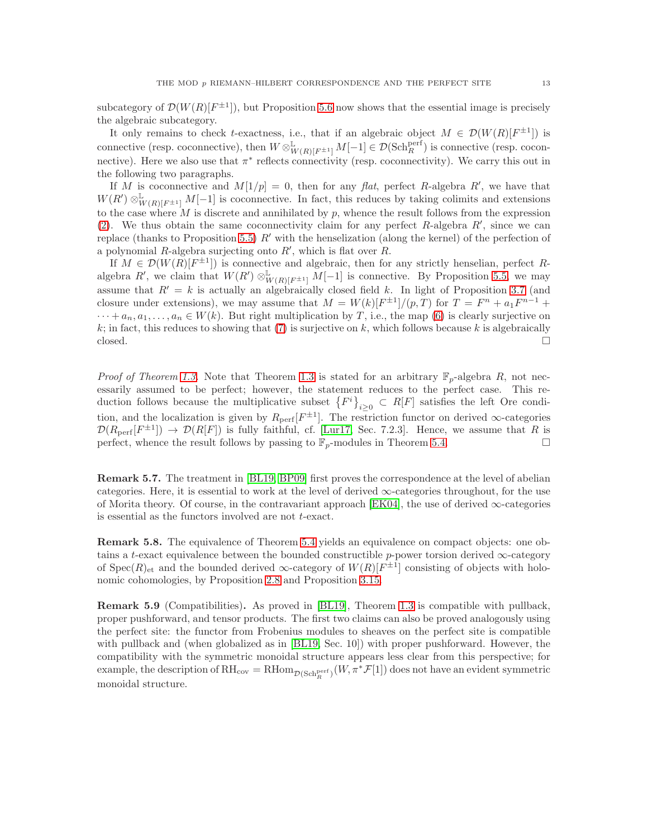subcategory of  $\mathcal{D}(W(R)[F^{\pm 1}])$ , but Proposition [5.6](#page-11-3) now shows that the essential image is precisely the algebraic subcategory.

It only remains to check t-exactness, i.e., that if an algebraic object  $M \in \mathcal{D}(W(R)[F^{\pm 1}])$  is connective (resp. coconnective), then  $W \otimes^{\mathbb{L}}_{W(R)[F^{\pm 1}]} M[-1] \in \mathcal{D}(\text{Sch}_{R}^{\text{perf}})$  is connective (resp. coconnective). Here we also use that  $\pi^*$  reflects connectivity (resp. coconnectivity). We carry this out in the following two paragraphs.

If M is coconnective and  $M[1/p] = 0$ , then for any flat, perfect R-algebra R', we have that  $W(R') \otimes^{\mathbb{L}}_{W(R)[F^{\pm 1}]} M[-1]$  is coconnective. In fact, this reduces by taking colimits and extensions to the case where  $M$  is discrete and annihilated by  $p$ , whence the result follows from the expression [\(2\)](#page-6-3). We thus obtain the same coconnectivity claim for any perfect  $R$ -algebra  $R'$ , since we can replace (thanks to Proposition [5.5\)](#page-11-1)  $R'$  with the henselization (along the kernel) of the perfection of a polynomial  $R$ -algebra surjecting onto  $R'$ , which is flat over  $R$ .

If  $M \in \mathcal{D}(W(R)[F^{\pm 1}])$  is connective and algebraic, then for any strictly henselian, perfect Ralgebra R', we claim that  $W(R') \otimes^{\mathbb{L}}_{W(R)[F^{\pm 1}]} M[-1]$  is connective. By Proposition [5.5,](#page-11-1) we may assume that  $R' = k$  is actually an algebraically closed field k. In light of Proposition [3.7](#page-6-2) (and closure under extensions), we may assume that  $M = W(k)[F^{\pm 1}]/(p,T)$  for  $T = F^n + a_1 F^{n-1}$  +  $\cdots + a_n, a_1, \ldots, a_n \in W(k)$ . But right multiplication by T, i.e., the map [\(6\)](#page-11-4) is clearly surjective on k; in fact, this reduces to showing that [\(7\)](#page-11-2) is surjective on k, which follows because k is algebraically closed.  $\Box$ 

*Proof of Theorem [1.3.](#page-1-1)* Note that Theorem [1.3](#page-1-1) is stated for an arbitrary  $\mathbb{F}_p$ -algebra R, not necessarily assumed to be perfect; however, the statement reduces to the perfect case. This reduction follows because the multiplicative subset  $\{F^i\}_{i\geq 0} \subset R[F]$  satisfies the left Ore condition, and the localization is given by  $R_{\text{perf}}[F^{\pm 1}]$ . The restriction functor on derived  $\infty$ -categories  $\mathcal{D}(R_{\text{perf}}[F^{\pm 1}]) \to \mathcal{D}(R[F])$  is fully faithful, cf. [\[Lur17,](#page-23-11) Sec. 7.2.3]. Hence, we assume that R is perfect, whence the result follows by passing to  $\mathbb{F}_p$ -modules in Theorem [5.4.](#page-11-0)

Remark 5.7. The treatment in [\[BL19,](#page-23-3) [BP09\]](#page-23-2) first proves the correspondence at the level of abelian categories. Here, it is essential to work at the level of derived  $\infty$ -categories throughout, for the use of Morita theory. Of course, in the contravariant approach [\[EK04\]](#page-23-1), the use of derived  $\infty$ -categories is essential as the functors involved are not t-exact.

Remark 5.8. The equivalence of Theorem [5.4](#page-11-0) yields an equivalence on compact objects: one obtains a t-exact equivalence between the bounded constructible p-power torsion derived  $\infty$ -category of  $Spec(R)_{et}$  and the bounded derived  $\infty$ -category of  $W(R)[F^{\pm 1}]$  consisting of objects with holonomic cohomologies, by Proposition [2.8](#page-5-1) and Proposition [3.15.](#page-8-2)

Remark 5.9 (Compatibilities). As proved in [\[BL19\]](#page-23-3), Theorem [1.3](#page-1-1) is compatible with pullback, proper pushforward, and tensor products. The first two claims can also be proved analogously using the perfect site: the functor from Frobenius modules to sheaves on the perfect site is compatible with pullback and (when globalized as in [\[BL19,](#page-23-3) Sec. 10]) with proper pushforward. However, the compatibility with the symmetric monoidal structure appears less clear from this perspective; for example, the description of  $\mathrm{RH}_{\mathrm{cov}} = \mathrm{RHom}_{\mathcal{D}(\mathrm{Sch}^{\mathrm{perf}}_R)}(W, \pi^*\mathcal{F}[1])$  does not have an evident symmetric monoidal structure.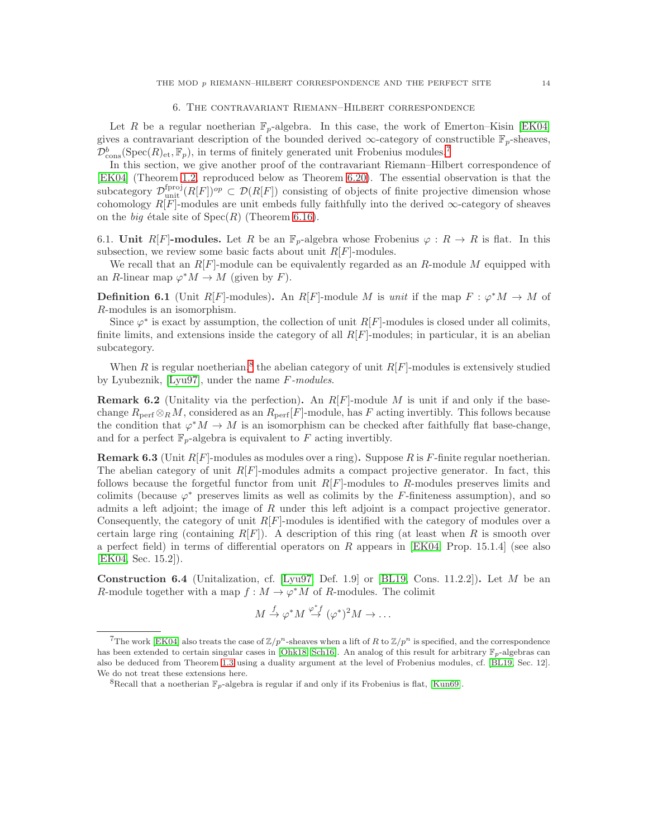#### 6. The contravariant Riemann–Hilbert correspondence

Let R be a regular noetherian  $\mathbb{F}_p$ -algebra. In this case, the work of Emerton–Kisin [\[EK04\]](#page-23-1) gives a contravariant description of the bounded derived  $\infty$ -category of constructible  $\mathbb{F}_p$ -sheaves,  $\mathcal{D}_{\text{cons}}^b(\text{Spec}(R)_{\text{et}}, \mathbb{F}_p)$ , in terms of finitely generated unit Frobenius modules.<sup>[7](#page-13-0)</sup>

In this section, we give another proof of the contravariant Riemann–Hilbert correspondence of [\[EK04\]](#page-23-1) (Theorem [1.2,](#page-0-2) reproduced below as Theorem [6.20\)](#page-17-0). The essential observation is that the subcategory  $\mathcal{D}_{\text{unit}}^{\text{fproj}}(R[F])^{op} \subset \mathcal{D}(R[F])$  consisting of objects of finite projective dimension whose cohomology  $R[F]$ -modules are unit embeds fully faithfully into the derived  $\infty$ -category of sheaves on the *big* étale site of  $Spec(R)$  (Theorem [6.16\)](#page-15-0).

6.1. Unit R[F]-modules. Let R be an  $\mathbb{F}_p$ -algebra whose Frobenius  $\varphi: R \to R$  is flat. In this subsection, we review some basic facts about unit  $R[F]$ -modules.

We recall that an  $R[F]$ -module can be equivalently regarded as an  $R$ -module  $M$  equipped with an R-linear map  $\varphi^* M \to M$  (given by F).

**Definition 6.1** (Unit R[F]-modules). An R[F]-module M is unit if the map  $F: \varphi^* M \to M$  of R-modules is an isomorphism.

Since  $\varphi^*$  is exact by assumption, the collection of unit  $R[F]$ -modules is closed under all colimits, finite limits, and extensions inside the category of all  $R[F]$ -modules; in particular, it is an abelian subcategory.

When R is regular noetherian,<sup>[8](#page-13-1)</sup> the abelian category of unit  $R[F]$ -modules is extensively studied by Lyubeznik, [\[Lyu97\]](#page-24-2), under the name F-modules.

**Remark 6.2** (Unitality via the perfection). An  $R[F]$ -module M is unit if and only if the basechange  $R_{\text{perf}} \otimes_R M$ , considered as an  $R_{\text{perf}}[F]$ -module, has F acting invertibly. This follows because the condition that  $\varphi^* M \to M$  is an isomorphism can be checked after faithfully flat base-change, and for a perfect  $\mathbb{F}_n$ -algebra is equivalent to F acting invertibly.

<span id="page-13-2"></span>**Remark 6.3** (Unit  $R[F]$ -modules as modules over a ring). Suppose R is F-finite regular noetherian. The abelian category of unit  $R[F]$ -modules admits a compact projective generator. In fact, this follows because the forgetful functor from unit  $R[F]$ -modules to R-modules preserves limits and colimits (because  $\varphi^*$  preserves limits as well as colimits by the F-finiteness assumption), and so admits a left adjoint; the image of R under this left adjoint is a compact projective generator. Consequently, the category of unit  $R[F]$ -modules is identified with the category of modules over a certain large ring (containing  $R[F]$ ). A description of this ring (at least when R is smooth over a perfect field) in terms of differential operators on R appears in [\[EK04,](#page-23-1) Prop. 15.1.4] (see also [\[EK04,](#page-23-1) Sec. 15.2]).

**Construction 6.4** (Unitalization, cf. [\[Lyu97,](#page-24-2) Def. 1.9] or [\[BL19,](#page-23-3) Cons. 11.2.2]). Let M be an R-module together with a map  $f : M \to \varphi^*M$  of R-modules. The colimit

$$
M \xrightarrow{f} \varphi^* M \xrightarrow{\varphi^* f} (\varphi^*)^2 M \to \dots
$$

<span id="page-13-0"></span><sup>&</sup>lt;sup>7</sup>The work [\[EK04\]](#page-23-1) also treats the case of  $\mathbb{Z}/p^n$ -sheaves when a lift of R to  $\mathbb{Z}/p^n$  is specified, and the correspondence has been extended to certain singular cases in [\[Ohk18,](#page-24-0) [Sch16\]](#page-24-1). An analog of this result for arbitrary  $\mathbb{F}_p$ -algebras can also be deduced from Theorem [1.3](#page-1-1) using a duality argument at the level of Frobenius modules, cf. [\[BL19,](#page-23-3) Sec. 12]. We do not treat these extensions here.

<span id="page-13-1"></span><sup>&</sup>lt;sup>8</sup>Recall that a noetherian  $\mathbb{F}_p$ -algebra is regular if and only if its Frobenius is flat, [\[Kun69\]](#page-23-12).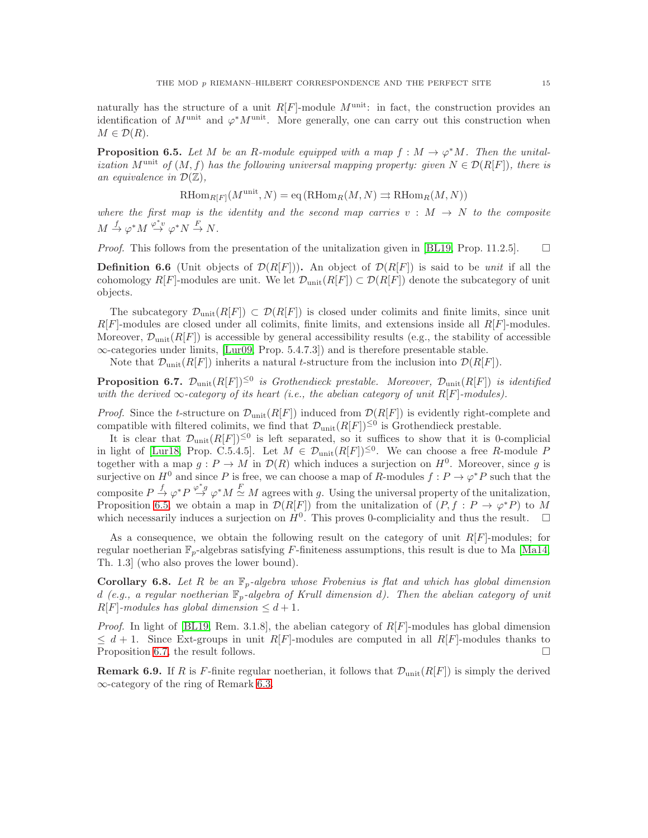naturally has the structure of a unit  $R[F]$ -module  $M^{\text{unit}}$ : in fact, the construction provides an identification of  $M^{\text{unit}}$  and  $\varphi^* M^{\text{unit}}$ . More generally, one can carry out this construction when  $M \in \mathcal{D}(R)$ .

<span id="page-14-0"></span>**Proposition 6.5.** Let M be an R-module equipped with a map  $f : M \to \varphi^* M$ . Then the unitalization M<sup>unit</sup> of  $(M, f)$  has the following universal mapping property: given  $N \in \mathcal{D}(R[F])$ , there is an equivalence in  $\mathcal{D}(\mathbb{Z})$ ,

$$
\operatorname{RHom}_{R[F]}(M^{\text{unit}}, N) = \operatorname{eq}(\operatorname{RHom}_R(M, N) \rightrightarrows \operatorname{RHom}_R(M, N))
$$

where the first map is the identity and the second map carries  $v : M \to N$  to the composite  $M \stackrel{f}{\rightarrow} \varphi^* M \stackrel{\varphi^* v}{\rightarrow} \varphi^* N \stackrel{F}{\rightarrow} N.$ 

*Proof.* This follows from the presentation of the unitalization given in [\[BL19,](#page-23-3) Prop. 11.2.5].  $\Box$ 

**Definition 6.6** (Unit objects of  $\mathcal{D}(R[F])$ ). An object of  $\mathcal{D}(R[F])$  is said to be *unit* if all the cohomology R[F]-modules are unit. We let  $\mathcal{D}_{\text{unit}}(R[F]) \subset \mathcal{D}(R[F])$  denote the subcategory of unit objects.

The subcategory  $\mathcal{D}_{\text{unit}}(R[F]) \subset \mathcal{D}(R[F])$  is closed under colimits and finite limits, since unit  $R[F]$ -modules are closed under all colimits, finite limits, and extensions inside all  $R[F]$ -modules. Moreover,  $\mathcal{D}_{\text{unit}}(R[F])$  is accessible by general accessibility results (e.g., the stability of accessible  $\infty$ -categories under limits, [\[Lur09,](#page-23-13) Prop. 5.4.7.3]) and is therefore presentable stable.

<span id="page-14-1"></span>Note that  $\mathcal{D}_{\text{unit}}(R[F])$  inherits a natural t-structure from the inclusion into  $\mathcal{D}(R[F])$ .

**Proposition 6.7.**  $\mathcal{D}_{\text{unit}}(R[F])^{\leq 0}$  is Grothendieck prestable. Moreover,  $\mathcal{D}_{\text{unit}}(R[F])$  is identified with the derived  $\infty$ -category of its heart (i.e., the abelian category of unit R[F]-modules).

*Proof.* Since the t-structure on  $\mathcal{D}_{\text{unit}}(R[F])$  induced from  $\mathcal{D}(R[F])$  is evidently right-complete and compatible with filtered colimits, we find that  $\mathcal{D}_{\text{unit}}(R[F])^{\leq 0}$  is Grothendieck prestable.

It is clear that  $\mathcal{D}_{\text{unit}}(R[F])^{\leq 0}$  is left separated, so it suffices to show that it is 0-complicial in light of [\[Lur18,](#page-24-4) Prop. C.5.4.5]. Let  $M \in \mathcal{D}_{\text{unit}}(R[F])^{\leq 0}$ . We can choose a free R-module F together with a map  $g: P \to M$  in  $\mathcal{D}(R)$  which induces a surjection on  $H^0$ . Moreover, since g is surjective on  $H^0$  and since P is free, we can choose a map of R-modules  $f: P \to \varphi^* P$  such that the composite  $P \stackrel{f}{\rightarrow} \varphi^* P \stackrel{\varphi^* g}{\rightarrow} \varphi^* M \stackrel{F}{\simeq} M$  agrees with g. Using the universal property of the unitalization, Proposition [6.5,](#page-14-0) we obtain a map in  $\mathcal{D}(R[F])$  from the unitalization of  $(P, f : P \to \varphi^*P)$  to M which necessarily induces a surjection on  $H^0$ . This proves 0-compliciality and thus the result.  $\square$ 

As a consequence, we obtain the following result on the category of unit  $R[F]$ -modules; for regular noetherian  $\mathbb{F}_p$ -algebras satisfying F-finiteness assumptions, this result is due to Ma [\[Ma14,](#page-24-3) Th. 1.3] (who also proves the lower bound).

**Corollary 6.8.** Let R be an  $\mathbb{F}_p$ -algebra whose Frobenius is flat and which has global dimension d (e.g., a regular noetherian  $\mathbb{F}_p$ -algebra of Krull dimension d). Then the abelian category of unit  $R[F]$ -modules has global dimension  $\leq d+1$ .

*Proof.* In light of [\[BL19,](#page-23-3) Rem. 3.1.8], the abelian category of  $R[F]$ -modules has global dimension  $\leq d+1$ . Since Ext-groups in unit R[F]-modules are computed in all R[F]-modules thanks to Proposition [6.7,](#page-14-1) the result follows.

**Remark 6.9.** If R is F-finite regular noetherian, it follows that  $\mathcal{D}_{\text{unit}}(R[F])$  is simply the derived ∞-category of the ring of Remark [6.3.](#page-13-2)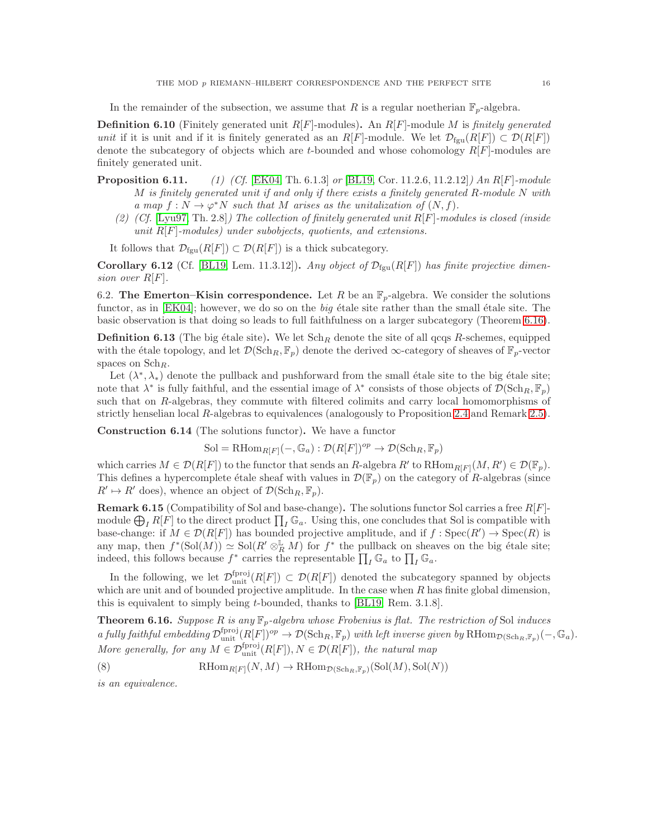In the remainder of the subsection, we assume that R is a regular noetherian  $\mathbb{F}_p$ -algebra.

**Definition 6.10** (Finitely generated unit  $R[F]$ -modules). An  $R[F]$ -module M is finitely generated unit if it is unit and if it is finitely generated as an  $R[F]$ -module. We let  $\mathcal{D}_{fgu}(R[F]) \subset \mathcal{D}(R[F])$ denote the subcategory of objects which are t-bounded and whose cohomology  $R[F]$ -modules are finitely generated unit.

- **Proposition 6.11.** (1) (Cf. [\[EK04,](#page-23-1) Th. 6.1.3] or [\[BL19,](#page-23-3) Cor. 11.2.6, 11.2.12]) An R[F]-module M is finitely generated unit if and only if there exists a finitely generated R-module N with a map  $f: N \to \varphi^*N$  such that M arises as the unitalization of  $(N, f)$ .
	- (2) (Cf. [\[Lyu97,](#page-24-2) Th. 2.8]) The collection of finitely generated unit  $R[F]$ -modules is closed (inside unit  $R[F]$ -modules) under subobjects, quotients, and extensions.

<span id="page-15-4"></span>It follows that  $\mathcal{D}_{\text{fgu}}(R[F]) \subset \mathcal{D}(R[F])$  is a thick subcategory.

**Corollary 6.12** (Cf. [\[BL19,](#page-23-3) Lem. 11.3.12]). Any object of  $\mathcal{D}_{fgu}(R[F])$  has finite projective dimension over  $R[F]$ .

6.2. The Emerton–Kisin correspondence. Let R be an  $\mathbb{F}_p$ -algebra. We consider the solutions functor, as in  $[EK04]$ ; however, we do so on the big étale site rather than the small étale site. The basic observation is that doing so leads to full faithfulness on a larger subcategory (Theorem [6.16\)](#page-15-0).

<span id="page-15-3"></span>**Definition 6.13** (The big étale site). We let  $Sch_R$  denote the site of all qcqs R-schemes, equipped with the étale topology, and let  $\mathcal{D}(\text{Sch}_R, \mathbb{F}_p)$  denote the derived  $\infty$ -category of sheaves of  $\mathbb{F}_p$ -vector spaces on  $\mathrm{Sch}_R$ .

Let  $(\lambda^*, \lambda_*)$  denote the pullback and pushforward from the small étale site to the big étale site; note that  $\lambda^*$  is fully faithful, and the essential image of  $\lambda^*$  consists of those objects of  $\mathcal{D}(\text{Sch}_R, \mathbb{F}_p)$ such that on R-algebras, they commute with filtered colimits and carry local homomorphisms of strictly henselian local R-algebras to equivalences (analogously to Proposition [2.4](#page-3-1) and Remark [2.5\)](#page-4-2).

Construction 6.14 (The solutions functor). We have a functor

$$
\mathrm{Sol} = \mathrm{RHom}_{R[F]}(-, \mathbb{G}_a) : \mathcal{D}(R[F])^{op} \to \mathcal{D}(\mathrm{Sch}_R, \mathbb{F}_p)
$$

which carries  $M \in \mathcal{D}(R[F])$  to the functor that sends an R-algebra  $R'$  to  $R\text{Hom}_{R[F]}(M, R') \in \mathcal{D}(\mathbb{F}_p)$ . This defines a hypercomplete étale sheaf with values in  $\mathcal{D}(\mathbb{F}_p)$  on the category of R-algebras (since  $R' \mapsto R'$  does), whence an object of  $\mathcal{D}(\text{Sch}_R, \mathbb{F}_p)$ .

<span id="page-15-1"></span>**Remark 6.15** (Compatibility of Sol and base-change). The solutions functor Sol carries a free  $R[F]$ module  $\bigoplus_{I} R[\hat{F}]$  to the direct product  $\prod_{I} \mathbb{G}_a$ . Using this, one concludes that Sol is compatible with base-change: if  $M \in \mathcal{D}(R[F])$  has bounded projective amplitude, and if  $f : \text{Spec}(R') \to \text{Spec}(R)$  is any map, then  $f^*(Sol(M)) \simeq Sol(R' \otimes_R^{\mathbb{L}} M)$  for  $f^*$  the pullback on sheaves on the big étale site; indeed, this follows because  $f^*$  carries the representable  $\prod_I \mathbb{G}_a$  to  $\prod_I \mathbb{G}_a$ .

In the following, we let  $\mathcal{D}_{\text{unit}}^{\text{fproj}}(R[F]) \subset \mathcal{D}(R[F])$  denoted the subcategory spanned by objects which are unit and of bounded projective amplitude. In the case when  $R$  has finite global dimension, this is equivalent to simply being t-bounded, thanks to [\[BL19,](#page-23-3) Rem. 3.1.8].

<span id="page-15-0"></span>**Theorem 6.16.** Suppose R is any  $\mathbb{F}_p$ -algebra whose Frobenius is flat. The restriction of Sol induces a fully faithful embedding  $\mathcal{D}_{\text{unit}}^{\text{fproj}}(R[F])^{op} \to \mathcal{D}(\text{Sch}_R, \mathbb{F}_p)$  with left inverse given by  $\text{RHom}_{\mathcal{D}(\text{Sch}_R, \mathbb{F}_p)}(-, \mathbb{G}_a)$ . More generally, for any  $M \in \mathcal{D}_{\text{unit}}^{\text{fproj}}(R[F]), N \in \mathcal{D}(R[F]),$  the natural map

<span id="page-15-2"></span>(8) 
$$
\mathrm{RHom}_{R[F]}(N,M) \to \mathrm{RHom}_{\mathcal{D}(\mathrm{Sch}_R,\mathbb{F}_p)}(\mathrm{Sol}(M),\mathrm{Sol}(N))
$$

is an equivalence.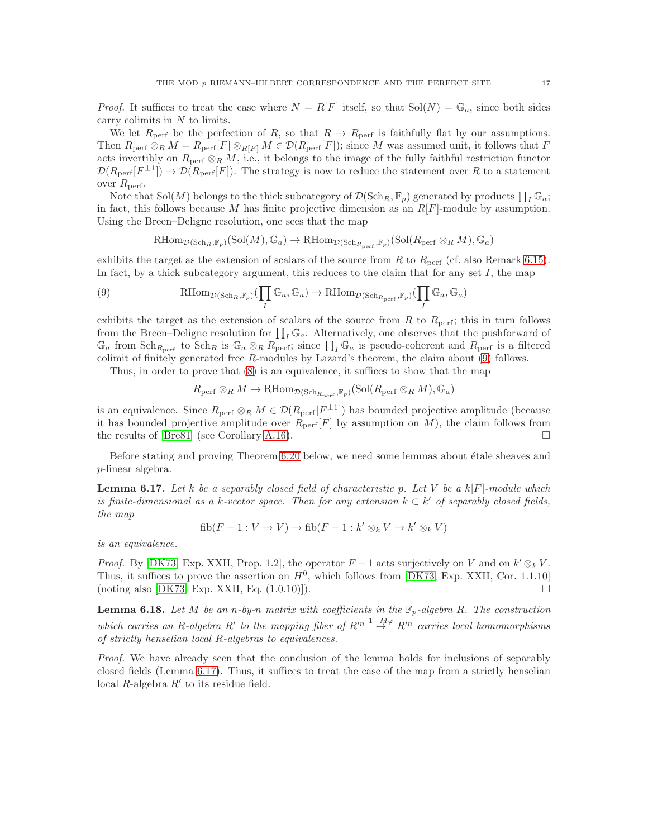*Proof.* It suffices to treat the case where  $N = R[F]$  itself, so that  $Sol(N) = \mathbb{G}_a$ , since both sides carry colimits in  $N$  to limits.

We let  $R_{\text{perf}}$  be the perfection of R, so that  $R \to R_{\text{perf}}$  is faithfully flat by our assumptions. Then  $R_{\text{perf}} \otimes_R M = R_{\text{perf}}[F] \otimes_{R[F]} M \in \mathcal{D}(R_{\text{perf}}[F])$ ; since M was assumed unit, it follows that F acts invertibly on  $R_{\text{perf}} \otimes_R M$ , i.e., it belongs to the image of the fully faithful restriction functor  $\mathcal{D}(R_{\text{perf}}[F^{\pm 1}]) \to \mathcal{D}(R_{\text{perf}}[F])$ . The strategy is now to reduce the statement over R to a statement over  $R_{\text{perf}}$ .

Note that  $\text{Sol}(M)$  belongs to the thick subcategory of  $\mathcal{D}(\text{Sch}_R, \mathbb{F}_p)$  generated by products  $\prod_I \mathbb{G}_a$ ; in fact, this follows because M has finite projective dimension as an  $R[F]$ -module by assumption. Using the Breen–Deligne resolution, one sees that the map

<span id="page-16-0"></span>
$$
\mathrm{RHom}_{\mathcal{D}(\mathrm{Sch}_R,\mathbb{F}_p)}(\mathrm{Sol}(M),\mathbb{G}_a)\rightarrow\mathrm{RHom}_{\mathcal{D}(\mathrm{Sch}_{R_{\mathrm{perf}}},\mathbb{F}_p)}(\mathrm{Sol}(R_{\mathrm{perf}}\otimes_R M),\mathbb{G}_a)
$$

exhibits the target as the extension of scalars of the source from R to  $R_{\text{perf}}$  (cf. also Remark [6.15\)](#page-15-1). In fact, by a thick subcategory argument, this reduces to the claim that for any set  $I$ , the map

(9) 
$$
\qquad \qquad \text{RHom}_{\mathcal{D}(\text{Sch}_R, \mathbb{F}_p)}(\prod_I \mathbb{G}_a, \mathbb{G}_a) \to \text{RHom}_{\mathcal{D}(\text{Sch}_{R_{\text{perf}}}, \mathbb{F}_p)}(\prod_I \mathbb{G}_a, \mathbb{G}_a)
$$

exhibits the target as the extension of scalars of the source from R to  $R_{\text{perf}}$ ; this in turn follows from the Breen–Deligne resolution for  $\prod_I \mathbb{G}_a$ . Alternatively, one observes that the pushforward of  $\mathbb{G}_a$  from  $\text{Sch}_{R_{\text{perf}}}$  to  $\text{Sch}_R$  is  $\mathbb{G}_a \otimes_R R_{\text{perf}}$ ; since  $\prod_I \mathbb{G}_a$  is pseudo-coherent and  $R_{\text{perf}}$  is a filtered colimit of finitely generated free R-modules by Lazard's theorem, the claim about [\(9\)](#page-16-0) follows.

Thus, in order to prove that [\(8\)](#page-15-2) is an equivalence, it suffices to show that the map

$$
R_{\text{perf}}\otimes_R M \to \mathrm{RHom}_{\mathcal{D}(\mathrm{Sch}_{R_{\text{perf}}}, \mathbb{F}_p)}(\mathrm{Sol}(R_{\text{perf}}\otimes_R M), \mathbb{G}_a)
$$

is an equivalence. Since  $R_{\text{perf}} \otimes_R M \in \mathcal{D}(R_{\text{perf}}[F^{\pm 1}])$  has bounded projective amplitude (because it has bounded projective amplitude over  $R_{\text{perf}}[F]$  by assumption on M), the claim follows from the results of [\[Bre81\]](#page-23-4) (see Corollary [A.16\)](#page-22-0).

<span id="page-16-1"></span>Before stating and proving Theorem [6.20](#page-17-0) below, we need some lemmas about étale sheaves and p-linear algebra.

**Lemma 6.17.** Let k be a separably closed field of characteristic p. Let V be a  $k[F]$ -module which is finite-dimensional as a k-vector space. Then for any extension  $k \subset k'$  of separably closed fields, the map

$$
fib(F-1:V \to V) \to fib(F-1: k' \otimes_k V \to k' \otimes_k V)
$$

is an equivalence.

*Proof.* By [\[DK73,](#page-23-14) Exp. XXII, Prop. 1.2], the operator  $F - 1$  acts surjectively on V and on  $k' \otimes_k V$ . Thus, it suffices to prove the assertion on  $H^0$ , which follows from [\[DK73,](#page-23-14) Exp. XXII, Cor. 1.1.10]  $(\text{noting also }[\text{DK73, Exp. XXII}, \text{Eq. } (1.0.10)]).$ 

<span id="page-16-2"></span>**Lemma 6.18.** Let M be an n-by-n matrix with coefficients in the  $\mathbb{F}_p$ -algebra R. The construction which carries an R-algebra R' to the mapping fiber of  $R'^{n} \stackrel{1-M\varphi}{\rightarrow} R'^{n}$  carries local homomorphisms of strictly henselian local R-algebras to equivalences.

Proof. We have already seen that the conclusion of the lemma holds for inclusions of separably closed fields (Lemma [6.17\)](#page-16-1). Thus, it suffices to treat the case of the map from a strictly henselian local  $R$ -algebra  $R'$  to its residue field.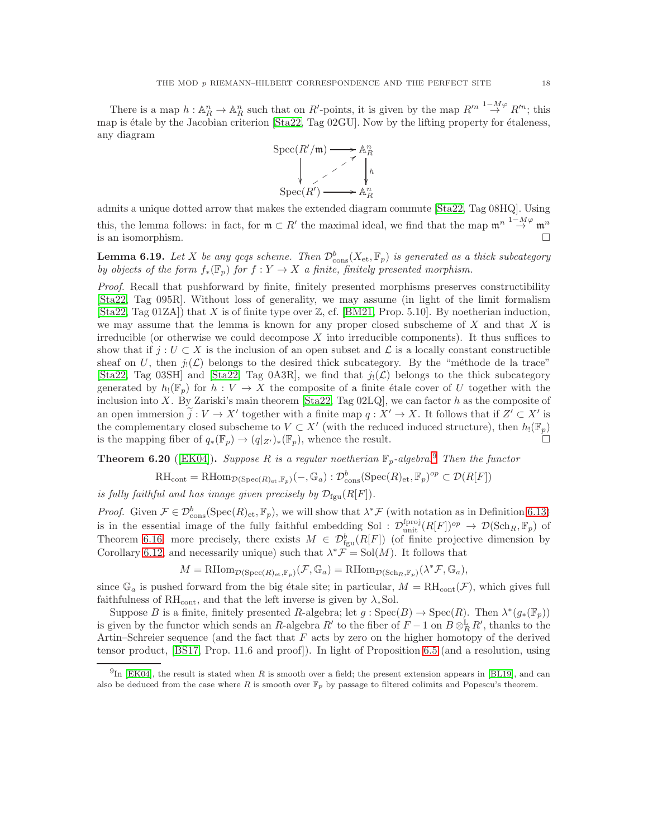There is a map  $h: \mathbb{A}^n_R \to \mathbb{A}^n_R$  such that on  $R'$ -points, it is given by the map  $R'^{n-1} \to^{\infty} R'^{n}$ ; this map is étale by the Jacobian criterion  $[Sta22, Tag 02GU]$ . Now by the lifting property for étaleness, any diagram



admits a unique dotted arrow that makes the extended diagram commute [\[Sta22,](#page-24-6) Tag 08HQ]. Using this, the lemma follows: in fact, for  $\mathfrak{m} \subset R'$  the maximal ideal, we find that the map  $\mathfrak{m}^n \stackrel{1-M\varphi}{\to} \mathfrak{m}^n$ is an isomorphism.

<span id="page-17-2"></span>**Lemma 6.19.** Let X be any qcqs scheme. Then  $\mathcal{D}_{\text{cons}}^b(X_{\text{et}}, \mathbb{F}_p)$  is generated as a thick subcategory by objects of the form  $f_*(\mathbb{F}_p)$  for  $f: Y \to X$  a finite, finitely presented morphism.

Proof. Recall that pushforward by finite, finitely presented morphisms preserves constructibility [\[Sta22,](#page-24-6) Tag 095R]. Without loss of generality, we may assume (in light of the limit formalism  $[\text{Sta22}, \text{Tag } 01\text{ZA}]$  that X is of finite type over Z, cf. [\[BM21,](#page-23-15) Prop. 5.10]. By noetherian induction, we may assume that the lemma is known for any proper closed subscheme of  $X$  and that  $X$  is irreducible (or otherwise we could decompose  $X$  into irreducible components). It thus suffices to show that if  $j: U \subset X$  is the inclusion of an open subset and  $\mathcal L$  is a locally constant constructible sheaf on U, then  $j_!({\mathcal{L}})$  belongs to the desired thick subcategory. By the "méthode de la trace" [\[Sta22,](#page-24-6) Tag 03SH] and [\[Sta22,](#page-24-6) Tag 0A3R], we find that  $j(\mathcal{L})$  belongs to the thick subcategory generated by  $h_!(\mathbb{F}_p)$  for  $h: V \to X$  the composite of a finite étale cover of U together with the inclusion into X. By Zariski's main theorem [\[Sta22,](#page-24-6) Tag 02LQ], we can factor h as the composite of an open immersion  $\tilde{j}: V \to X'$  together with a finite map  $q: X' \to X$ . It follows that if  $Z' \subset X'$  is the complementary closed subscheme to  $V \subset X'$  (with the reduced induced structure), then  $h_!(\mathbb{F}_p)$ is the mapping fiber of  $q_*(\mathbb{F}_p) \to (q|_{Z'})_*(\mathbb{F}_p)$ , whence the result.

<span id="page-17-0"></span>**Theorem 6.20** ([\[EK04\]](#page-23-1)). Suppose R is a regular noetherian  $\mathbb{F}_p$ -algebra.<sup>[9](#page-17-1)</sup> Then the functor

$$
\mathrm{RH}_{\mathrm{cont}} = \mathrm{RHom}_{\mathcal{D}(\mathrm{Spec}(R)_{\mathrm{\acute{e}t}}, \mathbb{F}_p)}(-, \mathbb{G}_a) : \mathcal{D}^b_{\mathrm{cons}}(\mathrm{Spec}(R)_{\mathrm{\acute{e}t}}, \mathbb{F}_p)^{op} \subset \mathcal{D}(R[F])
$$

is fully faithful and has image given precisely by  $\mathcal{D}_{fgu}(R[F])$ .

*Proof.* Given  $\mathcal{F} \in \mathcal{D}_{\text{cons}}^b(\text{Spec}(R)_{\text{et}}, \mathbb{F}_p)$ , we will show that  $\lambda^* \mathcal{F}$  (with notation as in Definition [6.13\)](#page-15-3) is in the essential image of the fully faithful embedding Sol :  $\mathcal{D}_{\text{unit}}^{\text{fproj}}(R[F])^{op} \to \mathcal{D}(\text{Sch}_R,\mathbb{F}_p)$  of Theorem [6.16;](#page-15-0) more precisely, there exists  $M \in \mathcal{D}_{fgu}^b(R[F])$  (of finite projective dimension by Corollary [6.12,](#page-15-4) and necessarily unique) such that  $\lambda^* \mathcal{F} = \text{Sol}(M)$ . It follows that

$$
M = \text{RHom}_{\mathcal{D}(\text{Spec}(R)_{\text{et}}, \mathbb{F}_p)}(\mathcal{F}, \mathbb{G}_a) = \text{RHom}_{\mathcal{D}(\text{Sch}_R, \mathbb{F}_p)}(\lambda^* \mathcal{F}, \mathbb{G}_a),
$$

since  $\mathbb{G}_a$  is pushed forward from the big étale site; in particular,  $M = RH_{cont}(\mathcal{F})$ , which gives full faithfulness of RH<sub>cont</sub>, and that the left inverse is given by  $\lambda_*$  Sol.

Suppose B is a finite, finitely presented R-algebra; let  $g : \text{Spec}(B) \to \text{Spec}(R)$ . Then  $\lambda^*(g_*(\mathbb{F}_p))$ is given by the functor which sends an R-algebra R' to the fiber of  $F-1$  on  $B \otimes_R^{\mathbb{L}} R'$ , thanks to the Artin–Schreier sequence (and the fact that  $F$  acts by zero on the higher homotopy of the derived tensor product, [\[BS17,](#page-23-8) Prop. 11.6 and proof]). In light of Proposition [6.5](#page-14-0) (and a resolution, using

<span id="page-17-1"></span> $^{9}$ In [\[EK04\]](#page-23-1), the result is stated when R is smooth over a field; the present extension appears in [\[BL19\]](#page-23-3), and can also be deduced from the case where R is smooth over  $\mathbb{F}_p$  by passage to filtered colimits and Popescu's theorem.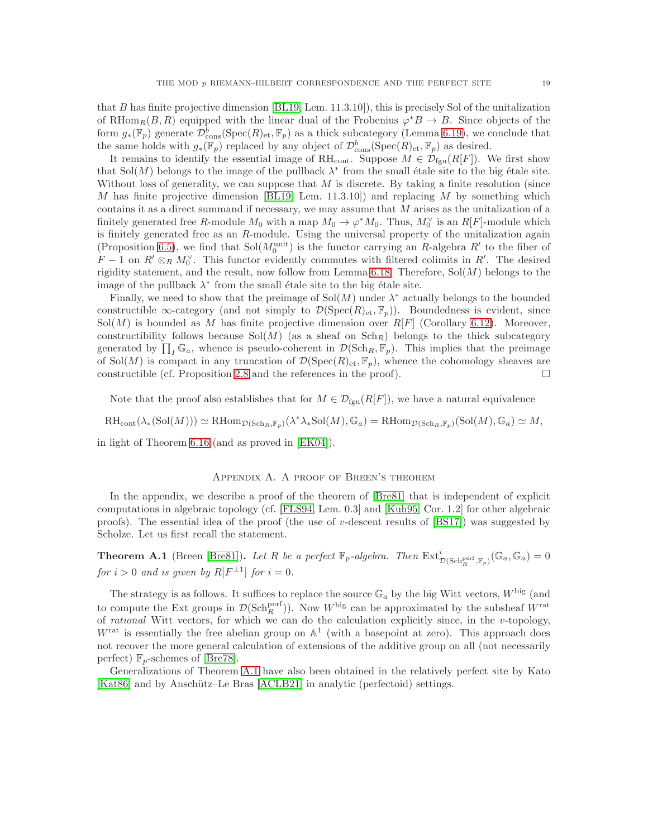that B has finite projective dimension [\[BL19,](#page-23-3) Lem. 11.3.10]), this is precisely Sol of the unitalization of RHom<sub>R</sub>(B, R) equipped with the linear dual of the Frobenius  $\varphi^*B \to B$ . Since objects of the form  $g_*(\mathbb{F}_p)$  generate  $\mathcal{D}^b_{\text{cons}}(\text{Spec}(R)_{\text{et}}, \mathbb{F}_p)$  as a thick subcategory (Lemma [6.19\)](#page-17-2), we conclude that the same holds with  $g_*(\mathbb{F}_p)$  replaced by any object of  $\mathcal{D}^b_{\text{cons}}(\text{Spec}(R)_{\text{et}}, \mathbb{F}_p)$  as desired.

It remains to identify the essential image of  $\mathrm{RH}_{\text{cont}}$ . Suppose  $M \in \mathcal{D}_{\text{fgu}}(R[F])$ . We first show that Sol(M) belongs to the image of the pullback  $\lambda^*$  from the small étale site to the big étale site. Without loss of generality, we can suppose that  $M$  is discrete. By taking a finite resolution (since M has finite projective dimension [\[BL19,](#page-23-3) Lem. 11.3.10]) and replacing M by something which contains it as a direct summand if necessary, we may assume that M arises as the unitalization of a finitely generated free R-module  $M_0$  with a map  $M_0 \to \varphi^* M_0$ . Thus,  $M_0^{\vee}$  is an  $R[F]$ -module which is finitely generated free as an R-module. Using the universal property of the unitalization again (Proposition [6.5\)](#page-14-0), we find that  $Sol(M_0^{\text{unit}})$  is the functor carrying an R-algebra R' to the fiber of  $F-1$  on  $R' \otimes_R M_0^{\vee}$ . This functor evidently commutes with filtered colimits in  $R'$ . The desired rigidity statement, and the result, now follow from Lemma [6.18.](#page-16-2) Therefore,  $Sol(M)$  belongs to the image of the pullback  $\lambda^*$  from the small étale site to the big étale site.

Finally, we need to show that the preimage of  $Sol(M)$  under  $\lambda^*$  actually belongs to the bounded constructible  $\infty$ -category (and not simply to  $\mathcal{D}(\mathrm{Spec}(R)_{\mathrm{et}}, \mathbb{F}_p)$ ). Boundedness is evident, since  $Sol(M)$  is bounded as M has finite projective dimension over  $R[F]$  (Corollary [6.12\)](#page-15-4). Moreover, constructibility follows because  $Sol(M)$  (as a sheaf on  $Sch_R$ ) belongs to the thick subcategory generated by  $\prod_I \mathbb{G}_a$ , whence is pseudo-coherent in  $\mathcal{D}(\mathrm{Sch}_R, \mathbb{F}_p)$ . This implies that the preimage of Sol $(M)$  is compact in any truncation of  $\mathcal{D}(\mathrm{Spec}(R)_{\mathrm{\acute{e}t}}, \mathbb{F}_p)$ , whence the cohomology sheaves are constructible (cf. Proposition [2.8](#page-5-1) and the references in the proof).  $\Box$ 

Note that the proof also establishes that for  $M \in \mathcal{D}_{\text{fgu}}(R[F])$ , we have a natural equivalence

 $\text{RH}_{\text{cont}}(\lambda_*(\text{Sol}(M))) \simeq \text{RHom}_{\mathcal{D}(\text{Sch}_R,\mathbb{F}_p)}(\lambda^*\lambda_*\text{Sol}(M),\mathbb{G}_a) = \text{RHom}_{\mathcal{D}(\text{Sch}_R,\mathbb{F}_p)}(\text{Sol}(M),\mathbb{G}_a) \simeq M,$ 

in light of Theorem [6.16](#page-15-0) (and as proved in [\[EK04\]](#page-23-1)).

### Appendix A. A proof of Breen's theorem

In the appendix, we describe a proof of the theorem of [\[Bre81\]](#page-23-4) that is independent of explicit computations in algebraic topology (cf. [\[FLS94,](#page-23-6) Lem. 0.3] and [\[Kuh95,](#page-23-7) Cor. 1.2] for other algebraic proofs). The essential idea of the proof (the use of v-descent results of  $[BS17]$ ) was suggested by Scholze. Let us first recall the statement.

<span id="page-18-0"></span>**Theorem A.1** (Breen [\[Bre81\]](#page-23-4)). Let R be a perfect  $\mathbb{F}_p$ -algebra. Then  $\text{Ext}^i_{\mathcal{D}(\text{Sch}^{\text{perf}}_R, \mathbb{F}_p)}(\mathbb{G}_a, \mathbb{G}_a) = 0$ for  $i > 0$  and is given by  $R[F^{\pm 1}]$  for  $i = 0$ .

The strategy is as follows. It suffices to replace the source  $\mathbb{G}_a$  by the big Witt vectors,  $W^{\text{big}}$  (and to compute the Ext groups in  $\mathcal{D}(\text{Sch}^{\text{perf}}_{R})$ ). Now  $W^{\text{big}}$  can be approximated by the subsheaf  $W^{\text{rat}}$ of rational Witt vectors, for which we can do the calculation explicitly since, in the v-topology,  $W^{\text{rat}}$  is essentially the free abelian group on  $\mathbb{A}^1$  (with a basepoint at zero). This approach does not recover the more general calculation of extensions of the additive group on all (not necessarily perfect)  $\mathbb{F}_p$ -schemes of [\[Bre78\]](#page-23-16).

Generalizations of Theorem [A.1](#page-18-0) have also been obtained in the relatively perfect site by Kato [\[Kat86\]](#page-23-5) and by Anschütz–Le Bras [\[ACLB21\]](#page-23-17) in analytic (perfectoid) settings.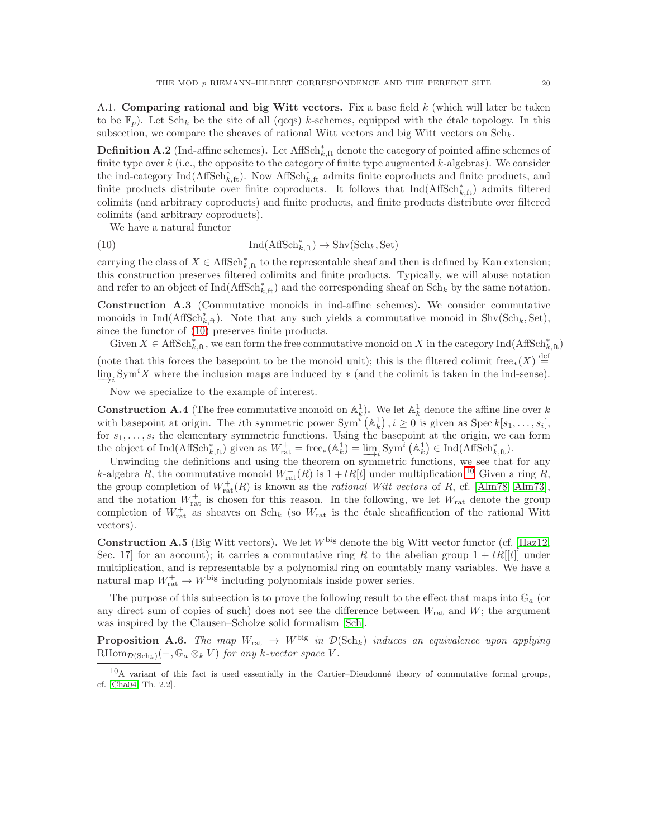A.1. Comparing rational and big Witt vectors. Fix a base field  $k$  (which will later be taken to be  $\mathbb{F}_p$ ). Let Sch<sub>k</sub> be the site of all (qcqs) k-schemes, equipped with the étale topology. In this subsection, we compare the sheaves of rational Witt vectors and big Witt vectors on  $\text{Sch}_k$ .

**Definition A.2** (Ind-affine schemes). Let  $\text{AffSch}^*_{k,\text{ft}}$  denote the category of pointed affine schemes of finite type over  $k$  (i.e., the opposite to the category of finite type augmented  $k$ -algebras). We consider the ind-category  $\text{Ind}(\text{AffSch}^*_{k,\text{ft}})$ . Now  $\text{AffSch}^*_{k,\text{ft}}$  admits finite coproducts and finite products, and finite products distribute over finite coproducts. It follows that  $Ind(AffSch<sub>k,ft</sub><sup>*</sup>)$  admits filtered colimits (and arbitrary coproducts) and finite products, and finite products distribute over filtered colimits (and arbitrary coproducts).

<span id="page-19-0"></span>We have a natural functor

(10) 
$$
\operatorname{Ind}(\operatorname{AffSch}^*_{k,\operatorname{ft}}) \to \operatorname{Shv}(\operatorname{Sch}_k, \operatorname{Set})
$$

carrying the class of  $X \in \text{AffSch}^*_{k,\text{ft}}$  to the representable sheaf and then is defined by Kan extension; this construction preserves filtered colimits and finite products. Typically, we will abuse notation and refer to an object of  $\text{Ind}(\text{AffSch}_{k,\text{ft}})$  and the corresponding sheaf on  $\text{Sch}_k$  by the same notation.

<span id="page-19-2"></span>Construction A.3 (Commutative monoids in ind-affine schemes). We consider commutative monoids in  $\text{Ind}(\text{AffSch}_{k,\text{ft}}^*)$ . Note that any such yields a commutative monoid in  $\text{Shv}(\text{Sch}_k, \text{Set})$ , since the functor of [\(10\)](#page-19-0) preserves finite products.

Given  $X \in \text{AffSch}^*_{k,\text{ft}}$ , we can form the free commutative monoid on X in the category Ind(AffSch<sup>\*</sup><sub>k,ft</sub>) (note that this forces the basepoint to be the monoid unit); this is the filtered colimit free<sub>\*</sub>(X)  $\stackrel{\text{def}}{=}$ 

 $\lim_{i \to i} \text{Sym}^i X$  where the inclusion maps are induced by  $*$  (and the colimit is taken in the ind-sense).

Now we specialize to the example of interest.

**Construction A.4** (The free commutative monoid on  $\mathbb{A}_k^1$ ). We let  $\mathbb{A}_k^1$  denote the affine line over k with basepoint at origin. The *i*th symmetric power  $Sym^i(A_k^1), i \geq 0$  is given as  $Spec k[s_1, \ldots, s_i],$ for  $s_1, \ldots, s_i$  the elementary symmetric functions. Using the basepoint at the origin, we can form the object of  $\text{Ind}(\text{AffSch}_{k,\text{ft}}^*)$  given as  $W_{\text{rat}}^+ = \text{free}_*(\mathbb{A}_k^1) = \underline{\lim}_i \text{Sym}^i (\mathbb{A}_k^1) \in \text{Ind}(\text{AffSch}_{k,\text{ft}}^*)$ .

Unwinding the definitions and using the theorem on symmetric functions, we see that for any k-algebra R, the commutative monoid  $W_{rat}^+(R)$  is  $1 + tR[t]$  under multiplication.<sup>[10](#page-19-1)</sup> Given a ring R, the group completion of  $W^+_{rat}(R)$  is known as the *rational Witt vectors* of R, cf. [\[Alm78,](#page-23-18) [Alm73\]](#page-23-19), and the notation  $W_{\text{rat}}^+$  is chosen for this reason. In the following, we let  $W_{\text{rat}}$  denote the group completion of  $W_{rat}^+$  as sheaves on  $Sch_k$  (so  $W_{rat}$  is the étale sheafification of the rational Witt vectors).

**Construction A.5** (Big Witt vectors). We let  $W^{\text{big}}$  denote the big Witt vector functor (cf. [\[Haz12,](#page-23-20) Sec. 17 for an account); it carries a commutative ring R to the abelian group  $1 + tR[[t]]$  under multiplication, and is representable by a polynomial ring on countably many variables. We have a natural map  $W_{\text{rat}}^+ \to W^{\text{big}}$  including polynomials inside power series.

The purpose of this subsection is to prove the following result to the effect that maps into  $\mathbb{G}_a$  (or any direct sum of copies of such) does not see the difference between  $W_{\text{rat}}$  and  $W$ ; the argument was inspired by the Clausen–Scholze solid formalism [\[Sch\]](#page-24-5).

<span id="page-19-3"></span>**Proposition A.6.** The map  $W_{\text{rat}} \to W^{\text{big}}$  in  $\mathcal{D}(\text{Sch}_k)$  induces an equivalence upon applying RHom $_{\mathcal{D}(\text{Sch}_k)}(-, \mathbb{G}_a \otimes_k V)$  for any k-vector space V.

<span id="page-19-1"></span> $10$ A variant of this fact is used essentially in the Cartier–Dieudonné theory of commutative formal groups, cf. [\[Cha04,](#page-23-21) Th. 2.2].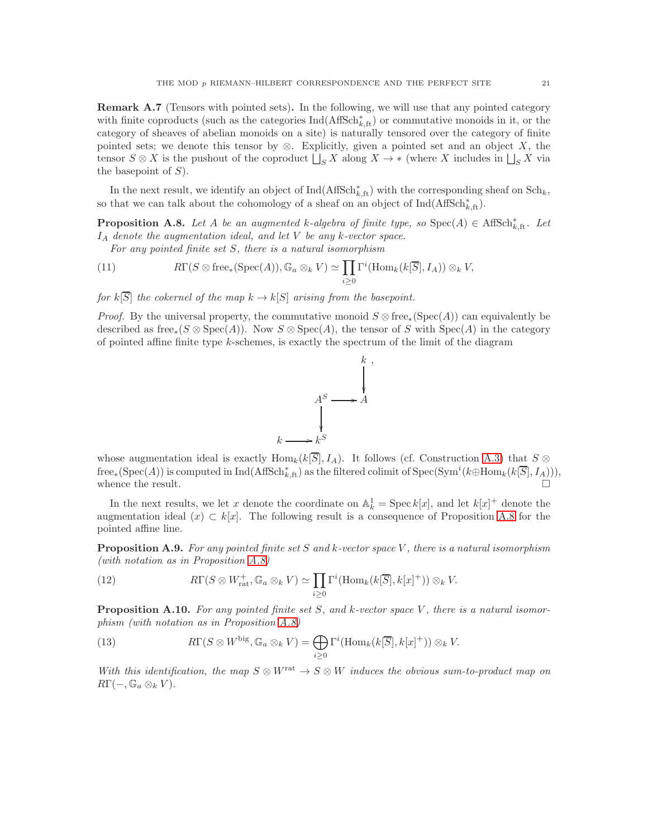Remark A.7 (Tensors with pointed sets). In the following, we will use that any pointed category with finite coproducts (such as the categories  $\text{Ind}(\text{AffSch}^*_{k,\text{ft}})$  or commutative monoids in it, or the category of sheaves of abelian monoids on a site) is naturally tensored over the category of finite pointed sets; we denote this tensor by  $\otimes$ . Explicitly, given a pointed set and an object X, the tensor  $S \otimes X$  is the pushout of the coproduct  $\Box_S X$  along  $X \to *$  (where X includes in  $\Box_S X$  via the basepoint of  $S$ ).

In the next result, we identify an object of  $\text{Ind}(\text{AffSch}_{k,\text{ft}}^*)$  with the corresponding sheaf on  $\text{Sch}_k$ , so that we can talk about the cohomology of a sheaf on an object of  $\text{Ind}(\text{AffSch}^*_{k,\text{ft}})$ .

**Proposition A.8.** Let A be an augmented k-algebra of finite type, so  $Spec(A) \in AffSch^*_{k,ft}$ . Let  $I_A$  denote the augmentation ideal, and let V be any k-vector space.

<span id="page-20-0"></span>For any pointed finite set S, there is a natural isomorphism

(11) 
$$
R\Gamma(S\otimes \text{free}_*(\text{Spec}(A)),\mathbb{G}_a\otimes_k V)\simeq \prod_{i\geq 0} \Gamma^i(\text{Hom}_k(k[\overline{S}],I_A))\otimes_k V,
$$

for  $k[\overline{S}]$  the cokernel of the map  $k \to k[S]$  arising from the basepoint.

*Proof.* By the universal property, the commutative monoid  $S \otimes \text{free}_*(\text{Spec}(A))$  can equivalently be described as free<sub>\*</sub>(S ⊗ Spec(A)). Now  $S \otimes$  Spec(A), the tensor of S with Spec(A) in the category of pointed affine finite type  $k$ -schemes, is exactly the spectrum of the limit of the diagram



whose augmentation ideal is exactly  $\text{Hom}_k(k[\overline{S}], I_A)$ . It follows (cf. Construction [A.3\)](#page-19-2) that  $S \otimes$  ${\rm free}_*(\mathrm{Spec}(A))$  is computed in  $\mathrm{Ind}(\mathrm{AffSch}^*_{k,\mathrm{ft}})$  as the filtered colimit of  $\mathrm{Spec}(\mathrm{Sym}^i(k\oplus \mathrm{Hom}_k(k[\overline{S}],I_A))),$ whence the result.  $\Box$ 

In the next results, we let x denote the coordinate on  $\mathbb{A}_k^1 = \text{Spec } k[x]$ , and let  $k[x]^+$  denote the augmentation ideal  $(x) \subset k[x]$ . The following result is a consequence of Proposition [A.8](#page-20-0) for the pointed affine line.

**Proposition A.9.** For any pointed finite set S and k-vector space V, there is a natural isomorphism (with notation as in Proposition [A.8\)](#page-20-0)

<span id="page-20-1"></span>(12) 
$$
R\Gamma(S\otimes W_{\text{rat}}^+,\mathbb{G}_a\otimes_k V)\simeq \prod_{i\geq 0}\Gamma^i(\text{Hom}_k(k[\overline{S}],k[x]^+))\otimes_k V.
$$

**Proposition A.10.** For any pointed finite set S, and k-vector space V, there is a natural isomorphism (with notation as in Proposition [A.8\)](#page-20-0)

<span id="page-20-2"></span>(13) 
$$
R\Gamma(S\otimes W^{\text{big}}, \mathbb{G}_a\otimes_k V) = \bigoplus_{i\geq 0} \Gamma^i(\text{Hom}_k(k[\overline{S}], k[x]^+)) \otimes_k V.
$$

With this identification, the map  $S \otimes W^{\text{rat}} \to S \otimes W$  induces the obvious sum-to-product map on  $R\Gamma(-, \mathbb{G}_a \otimes_k V).$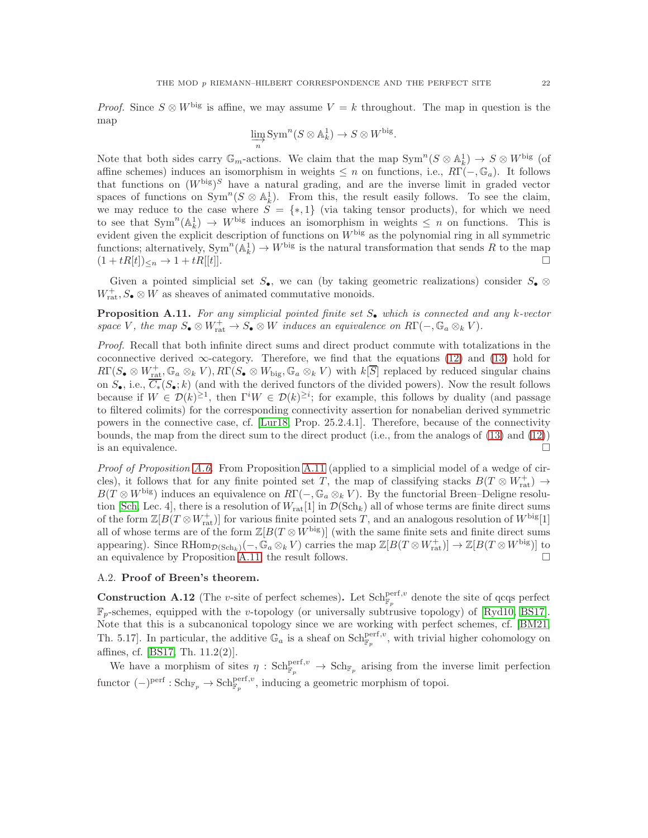*Proof.* Since  $S \otimes W^{\text{big}}$  is affine, we may assume  $V = k$  throughout. The map in question is the map

$$
\varinjlim_{n} \operatorname{Sym}^{n}(S \otimes \mathbb{A}_{k}^{1}) \to S \otimes W^{\text{big}}.
$$

Note that both sides carry  $\mathbb{G}_m$ -actions. We claim that the map  $\text{Sym}^n(S \otimes \mathbb{A}_k^1) \to S \otimes W^{\text{big}}$  (of affine schemes) induces an isomorphism in weights  $\leq n$  on functions, i.e.,  $R\Gamma(-,\mathbb{G}_a)$ . It follows that functions on  $(W^{\text{big}})^S$  have a natural grading, and are the inverse limit in graded vector spaces of functions on  $Sym^n(S \otimes \mathbb{A}_k^1)$ . From this, the result easily follows. To see the claim, we may reduce to the case where  $S = \{*, 1\}$  (via taking tensor products), for which we need to see that  $Sym^n(A_k^1) \to W^{\text{big}}$  induces an isomorphism in weights  $\leq n$  on functions. This is evident given the explicit description of functions on  $W^{\text{big}}$  as the polynomial ring in all symmetric functions; alternatively,  $\text{Sym}^n(\mathbb{A}_k^1) \to W^{\text{big}}$  is the natural transformation that sends R to the map  $(1 + tR[t])_{\leq n} \to 1 + tR[[t]].$ 

<span id="page-21-0"></span>Given a pointed simplicial set  $S_{\bullet}$ , we can (by taking geometric realizations) consider  $S_{\bullet} \otimes$  $W^+_{\text{rat}}, S_{\bullet}\otimes W$  as sheaves of animated commutative monoids.

**Proposition A.11.** For any simplicial pointed finite set  $S_{\bullet}$  which is connected and any k-vector space V, the map  $S_{\bullet} \otimes W_{\text{rat}}^{+} \to S_{\bullet} \otimes W$  induces an equivalence on  $R\Gamma(-, \mathbb{G}_a \otimes_k V)$ .

Proof. Recall that both infinite direct sums and direct product commute with totalizations in the coconnective derived  $\infty$ -category. Therefore, we find that the equations [\(12\)](#page-20-1) and [\(13\)](#page-20-2) hold for  $R\Gamma(S_{\bullet}\otimes W_{\text{rat}}^+,\mathbb{G}_a\otimes_k V), R\Gamma(S_{\bullet}\otimes W_{\text{big}},\mathbb{G}_a\otimes_k V)$  with  $k[\overline{S}]$  replaced by reduced singular chains on  $S_{\bullet}$ , i.e.,  $\overline{C_{\bullet}}(S_{\bullet}; k)$  (and with the derived functors of the divided powers). Now the result follows because if  $W \in \mathcal{D}(k)^{\geq 1}$ , then  $\Gamma^i W \in \mathcal{D}(k)^{\geq i}$ ; for example, this follows by duality (and passage to filtered colimits) for the corresponding connectivity assertion for nonabelian derived symmetric powers in the connective case, cf. [\[Lur18,](#page-24-4) Prop. 25.2.4.1]. Therefore, because of the connectivity bounds, the map from the direct sum to the direct product (i.e., from the analogs of [\(13\)](#page-20-2) and [\(12\)](#page-20-1)) is an equivalence.  $\Box$ 

Proof of Proposition [A.6.](#page-19-3) From Proposition [A.11](#page-21-0) (applied to a simplicial model of a wedge of circles), it follows that for any finite pointed set T, the map of classifying stacks  $B(T \otimes W_{rat}^+) \to$  $B(T \otimes W^{\text{big}})$  induces an equivalence on  $R\Gamma(-, \mathbb{G}_a \otimes_k V)$ . By the functorial Breen–Deligne resolu-tion [\[Sch,](#page-24-5) Lec. 4], there is a resolution of  $W_{rat}[1]$  in  $\mathcal{D}(\text{Sch}_k)$  all of whose terms are finite direct sums of the form  $\mathbb{Z}[B(T \otimes W_{\text{rat}}^+)]$  for various finite pointed sets T, and an analogous resolution of  $W^{\text{big}}[1]$ all of whose terms are of the form  $\mathbb{Z}[B(T \otimes W^{\text{big}})]$  (with the same finite sets and finite direct sums appearing). Since  $\text{RHom}_{\mathcal{D}(\text{Sch}_k)}(-,\tilde{\mathbb{G}}_a \otimes_k V)$  carries the map  $\mathbb{Z}[B(T \otimes W_{\text{rat}}^+)] \to \mathbb{Z}[B(T \otimes W^{\text{big}})]$  to an equivalence by Proposition [A.11,](#page-21-0) the result follows.  $\Box$ 

## A.2. Proof of Breen's theorem.

**Construction A.12** (The v-site of perfect schemes). Let  $Sch_{\mathbb{F}_p}^{\text{perf},v}$  denote the site of qcqs perfect  $\mathbb{F}_p$ -schemes, equipped with the v-topology (or universally subtrusive topology) of [\[Ryd10,](#page-24-7) [BS17\]](#page-23-8). Note that this is a subcanonical topology since we are working with perfect schemes, cf. [\[BM21,](#page-23-15) Th. 5.17. In particular, the additive  $\mathbb{G}_a$  is a sheaf on  $Sch_{\mathbb{F}_p}^{\text{perf},v}$ , with trivial higher cohomology on affines, cf. [\[BS17,](#page-23-8) Th. 11.2(2)].

We have a morphism of sites  $\eta : \text{Sch}_{\mathbb{F}_p}^{\text{perf},v} \to \text{Sch}_{\mathbb{F}_p}$  arising from the inverse limit perfection functor  $(-)^\text{perf} : \text{Sch}_{\mathbb{F}_p} \to \text{Sch}_{\mathbb{F}_p}^{\text{perf},v}$ , inducing a geometric morphism of topoi.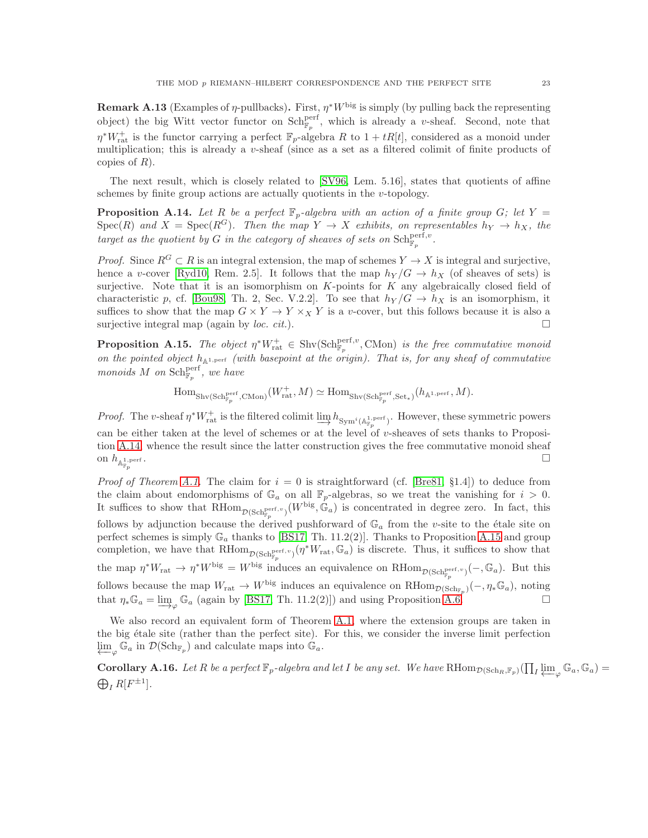**Remark A.13** (Examples of  $\eta$ -pullbacks). First,  $\eta^*W^{\text{big}}$  is simply (by pulling back the representing object) the big Witt vector functor on  $Sch_{\mathbb{F}_p}^{\text{perf}}$ , which is already a v-sheaf. Second, note that  $\eta^*W_{\text{rat}}^+$  is the functor carrying a perfect  $\mathbb{F}_p$ -algebra R to  $1 + tR[t]$ , considered as a monoid under multiplication; this is already a v-sheaf (since as a set as a filtered colimit of finite products of copies of  $R$ ).

<span id="page-22-1"></span>The next result, which is closely related to [\[SV96,](#page-24-8) Lem. 5.16], states that quotients of affine schemes by finite group actions are actually quotients in the  $v$ -topology.

**Proposition A.14.** Let R be a perfect  $\mathbb{F}_p$ -algebra with an action of a finite group G; let Y =  $Spec(R)$  and  $X = Spec(R^G)$ . Then the map  $Y \to X$  exhibits, on representables  $h_Y \to h_X$ , the target as the quotient by G in the category of sheaves of sets on  $\text{Sch}^{\text{perf},v}_{\mathbb{F}_p}$ .

*Proof.* Since  $R^G \subset R$  is an integral extension, the map of schemes  $Y \to X$  is integral and surjective, hence a v-cover [\[Ryd10,](#page-24-7) Rem. 2.5]. It follows that the map  $h_Y/G \to h_X$  (of sheaves of sets) is surjective. Note that it is an isomorphism on  $K$ -points for  $K$  any algebraically closed field of characteristic p, cf. [\[Bou98,](#page-23-22) Th. 2, Sec. V.2.2]. To see that  $h_Y/G \to h_X$  is an isomorphism, it suffices to show that the map  $G \times Y \to Y \times_X Y$  is a v-cover, but this follows because it is also a surjective integral map (again by *loc. cit.*).

<span id="page-22-2"></span>**Proposition A.15.** The object  $\eta^* W_{\text{rat}}^+ \in \text{Shv}(\text{Sch}_{\mathbb{F}_p}^{\text{perf},v}, \text{CMon})$  is the free commutative monoid on the pointed object  $h_{\mathbb{A}^{1,pert}}$  (with basepoint at the origin). That is, for any sheaf of commutative monoids M on  $\text{Sch}^{\text{perf}}_{\mathbb{F}_p}$ , we have

$$
\mathrm{Hom}_{\mathrm{Shv}(\mathrm{Sch}^{\mathrm{perf}}_{\mathbb{F}_p}, \mathrm{CMon})}(W^+_{\mathrm{rat}}, M) \simeq \mathrm{Hom}_{\mathrm{Shv}(\mathrm{Sch}^{\mathrm{perf}}_{\mathbb{F}_p}, \mathrm{Set}_*)}(h_{\mathbb{A}^{1,\mathrm{perf}}}, M).
$$

*Proof.* The v-sheaf  $\eta^* W_{\text{rat}}^+$  is the filtered colimit  $\underline{\lim} h_{\text{Sym}^i(\mathbb{A}^1_{\mathbb{F}_p}\text{perf})}$ . However, these symmetric powers can be either taken at the level of schemes or at the level of v-sheaves of sets thanks to Proposition [A.14,](#page-22-1) whence the result since the latter construction gives the free commutative monoid sheaf on  $h_{\mathbb{A}^{1,\mathrm{perf}}_{\mathbb{F}_p}}$ .

*Proof of Theorem [A.1.](#page-18-0)* The claim for  $i = 0$  is straightforward (cf. [\[Bre81,](#page-23-4) §1.4]) to deduce from the claim about endomorphisms of  $\mathbb{G}_a$  on all  $\mathbb{F}_p$ -algebras, so we treat the vanishing for  $i > 0$ . It suffices to show that  $\text{RHom}_{\mathcal{D}(\text{Sch}^{\text{perf}, v}_{\mathbb{F}_p})}(W^{\text{big}}, \hat{\mathbb{G}}_a)$  is concentrated in degree zero. In fact, this follows by adjunction because the derived pushforward of  $\mathbb{G}_a$  from the v-site to the étale site on perfect schemes is simply  $\mathbb{G}_a$  thanks to [\[BS17,](#page-23-8) Th. 11.2(2)]. Thanks to Proposition [A.15](#page-22-2) and group completion, we have that  $\text{RHom}_{\mathcal{D}(\text{Sch}^{\text{perf}, v}_{\mathbb{F}_p})}(\eta^*W_{\text{rat}}, \mathbb{G}_a)$  is discrete. Thus, it suffices to show that the map  $\eta^* W_{\text{rat}} \to \eta^* W^{\text{big}} = W^{\text{big}}$  induces an equivalence on  $\text{RHom}_{\mathcal{D}(\text{Sch}^{\text{perf}, v}_{\mathbb{F}_p})}(-,\mathbb{G}_a)$ . But this follows because the map  $W_{\text{rat}} \to W^{\text{big}}$  induces an equivalence on  $\text{RHom}_{\mathcal{D}(\text{Sch}_{\mathbb{F}_p})}(-, \eta_*\mathbb{G}_a)$ , noting that  $\eta_* \mathbb{G}_a = \varinjlim_{\varphi} \mathbb{G}_a$  (again by [\[BS17,](#page-23-8) Th. 11.2(2)]) and using Proposition [A.6.](#page-19-3)

We also record an equivalent form of Theorem [A.1,](#page-18-0) where the extension groups are taken in the big étale site (rather than the perfect site). For this, we consider the inverse limit perfection  $\varprojlim_{\varphi} \mathbb{G}_a$  in  $\mathcal{D}(\mathrm{Sch}_{\mathbb{F}_p})$  and calculate maps into  $\mathbb{G}_a$ .

<span id="page-22-0"></span>**Corollary A.16.** Let R be a perfect  $\mathbb{F}_p$ -algebra and let I be any set. We have  $\text{RHom}_{\mathcal{D}(\text{Sch}_R,\mathbb{F}_p)}(\prod_I \varprojlim_{\varphi} \mathbb{G}_a, \mathbb{G}_a)$  $\bigoplus_I R[F^{\pm 1}].$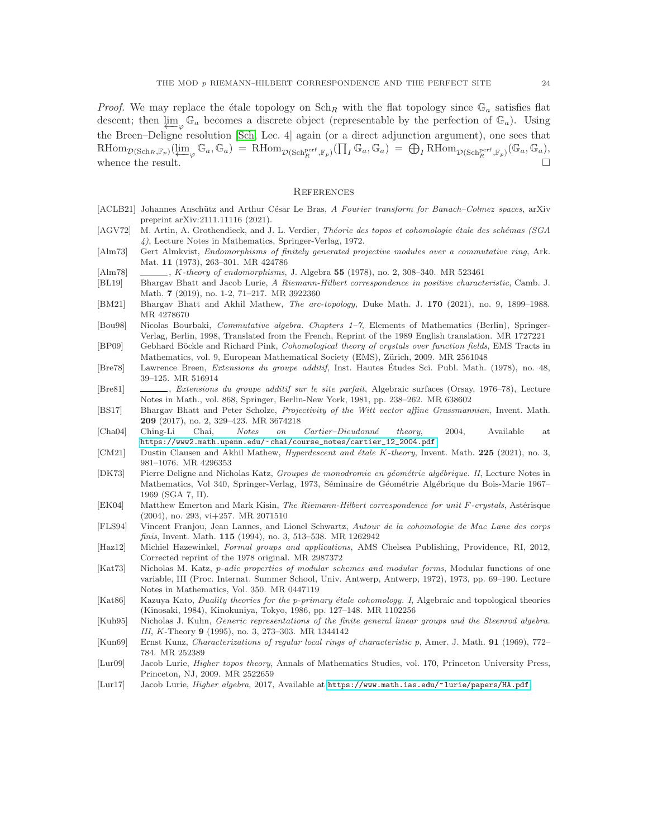*Proof.* We may replace the étale topology on  $\text{Sch}_R$  with the flat topology since  $\mathbb{G}_a$  satisfies flat descent; then  $\varprojlim_{\varphi} \mathbb{G}_a$  becomes a discrete object (representable by the perfection of  $\mathbb{G}_a$ ). Using the Breen–Deligne resolution [\[Sch,](#page-24-5) Lec. 4] again (or a direct adjunction argument), one sees that  $R\text{Hom}_{\mathcal{D}(\text{Sch}_R, \mathbb{F}_p)}(\varprojlim_{\varphi} \mathbb{G}_a, \mathbb{G}_a) = R\text{Hom}_{\mathcal{D}(\text{Sch}_R^{\text{perf}}, \mathbb{F}_p)}(\prod_I \mathbb{G}_a, \mathbb{G}_a) = \bigoplus_I R\text{Hom}_{\mathcal{D}(\text{Sch}_R^{\text{perf}}, \mathbb{F}_p)}(\mathbb{G}_a, \mathbb{G}_a),$ whence the result.

#### **REFERENCES**

- <span id="page-23-17"></span>[ACLB21] Johannes Anschütz and Arthur César Le Bras, A Fourier transform for Banach–Colmez spaces, arXiv preprint arXiv:2111.11116 (2021).
- <span id="page-23-9"></span>[AGV72] M. Artin, A. Grothendieck, and J. L. Verdier, Théorie des topos et cohomologie étale des schémas (SGA 4), Lecture Notes in Mathematics, Springer-Verlag, 1972.
- <span id="page-23-19"></span>[Alm73] Gert Almkvist, Endomorphisms of finitely generated projective modules over a commutative ring, Ark. Mat. 11 (1973), 263–301. MR 424786
- <span id="page-23-18"></span>[Alm78] , K-theory of endomorphisms, J. Algebra 55 (1978), no. 2, 308–340. MR 523461
- <span id="page-23-3"></span>[BL19] Bhargav Bhatt and Jacob Lurie, A Riemann-Hilbert correspondence in positive characteristic, Camb. J. Math. 7 (2019), no. 1-2, 71–217. MR 3922360
- <span id="page-23-15"></span>[BM21] Bhargav Bhatt and Akhil Mathew, The arc-topology, Duke Math. J. 170 (2021), no. 9, 1899–1988. MR 4278670
- <span id="page-23-22"></span>[Bou98] Nicolas Bourbaki, Commutative algebra. Chapters 1–7, Elements of Mathematics (Berlin), Springer-Verlag, Berlin, 1998, Translated from the French, Reprint of the 1989 English translation. MR 1727221
- <span id="page-23-2"></span>[BP09] Gebhard Böckle and Richard Pink, Cohomological theory of crystals over function fields, EMS Tracts in Mathematics, vol. 9, European Mathematical Society (EMS), Zürich, 2009. MR 2561048
- <span id="page-23-16"></span>[Bre78] Lawrence Breen, Extensions du groupe additif, Inst. Hautes Etudes Sci. Publ. Math. (1978), no. 48, ´ 39–125. MR 516914
- <span id="page-23-4"></span>[Bre81] , Extensions du groupe additif sur le site parfait, Algebraic surfaces (Orsay, 1976–78), Lecture Notes in Math., vol. 868, Springer, Berlin-New York, 1981, pp. 238–262. MR 638602
- <span id="page-23-8"></span>[BS17] Bhargav Bhatt and Peter Scholze, Projectivity of the Witt vector affine Grassmannian, Invent. Math. 209 (2017), no. 2, 329–423. MR 3674218
- <span id="page-23-21"></span>[Cha04] Ching-Li Chai, Notes on Cartier–Dieudonné theory, 2004, Available at [https://www2.math.upenn.edu/~chai/course\\_notes/cartier\\_12\\_2004.pdf](https://www2.math.upenn.edu/~chai/course_notes/cartier_12_2004.pdf).
- <span id="page-23-10"></span>[CM21] Dustin Clausen and Akhil Mathew, *Hyperdescent and étale K-theory*, Invent. Math. 225 (2021), no. 3, 981–1076. MR 4296353
- <span id="page-23-14"></span>[DK73] Pierre Deligne and Nicholas Katz, Groupes de monodromie en géométrie algébrique. II, Lecture Notes in Mathematics, Vol 340, Springer-Verlag, 1973, Séminaire de Géométrie Algébrique du Bois-Marie 1967– 1969 (SGA 7, II).
- <span id="page-23-1"></span>[EK04] Matthew Emerton and Mark Kisin, The Riemann-Hilbert correspondence for unit F-crystals, Astérisque (2004), no. 293, vi+257. MR 2071510
- <span id="page-23-6"></span>[FLS94] Vincent Franjou, Jean Lannes, and Lionel Schwartz, Autour de la cohomologie de Mac Lane des corps finis, Invent. Math. 115 (1994), no. 3, 513–538. MR 1262942
- <span id="page-23-20"></span>[Haz12] Michiel Hazewinkel, Formal groups and applications, AMS Chelsea Publishing, Providence, RI, 2012, Corrected reprint of the 1978 original. MR 2987372
- <span id="page-23-0"></span>[Kat73] Nicholas M. Katz, p-adic properties of modular schemes and modular forms, Modular functions of one variable, III (Proc. Internat. Summer School, Univ. Antwerp, Antwerp, 1972), 1973, pp. 69–190. Lecture Notes in Mathematics, Vol. 350. MR 0447119
- <span id="page-23-5"></span>[Kat86] Kazuya Kato, Duality theories for the p-primary étale cohomology. I, Algebraic and topological theories (Kinosaki, 1984), Kinokuniya, Tokyo, 1986, pp. 127–148. MR 1102256
- <span id="page-23-7"></span>[Kuh95] Nicholas J. Kuhn, Generic representations of the finite general linear groups and the Steenrod algebra. III, K-Theory 9 (1995), no. 3, 273–303. MR 1344142
- <span id="page-23-12"></span>[Kun69] Ernst Kunz, Characterizations of regular local rings of characteristic p, Amer. J. Math. 91 (1969), 772– 784. MR 252389
- <span id="page-23-13"></span>[Lur09] Jacob Lurie, Higher topos theory, Annals of Mathematics Studies, vol. 170, Princeton University Press, Princeton, NJ, 2009. MR 2522659
- <span id="page-23-11"></span>[Lur17] Jacob Lurie, *Higher algebra*, 2017, Available at <https://www.math.ias.edu/~lurie/papers/HA.pdf>.